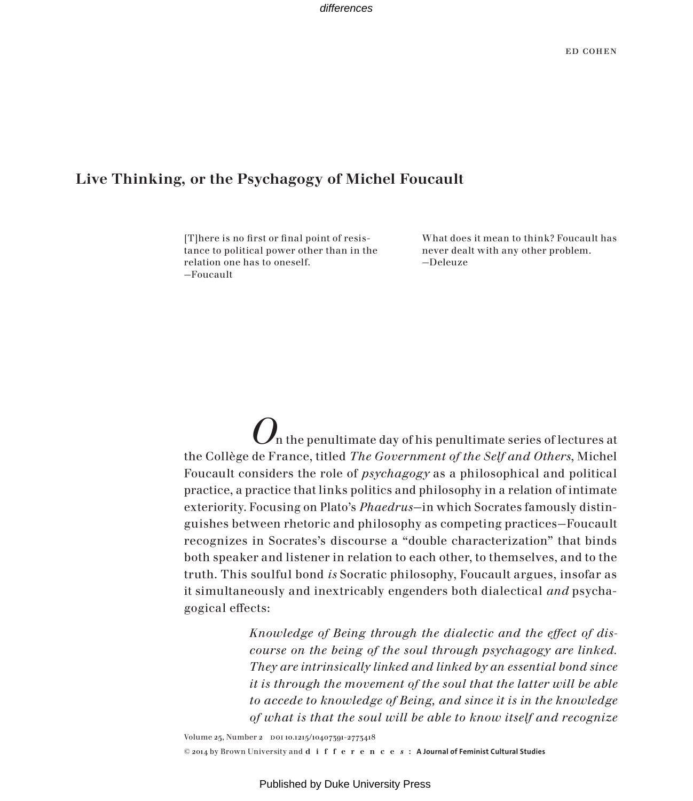ed cohen

# Live Thinking, or the Psychagogy of Michel Foucault

[T]here is no first or final point of resistance to political power other than in the relation one has to oneself. —Foucault

What does it mean to think? Foucault has never dealt with any other problem. —Deleuze

*O*n the penultimate day of his penultimate series of lectures at the Collège de France, titled *The Government of the Self and Others*, Michel Foucault considers the role of *psychagogy* as a philosophical and political practice, a practice that links politics and philosophy in a relation of intimate exteriority. Focusing on Plato's *Phaedrus*—in which Socrates famously distinguishes between rhetoric and philosophy as competing practices—Foucault recognizes in Socrates's discourse a "double characterization" that binds both speaker and listener in relation to each other, to themselves, and to the truth. This soulful bond *is* Socratic philosophy, Foucault argues, insofar as it simultaneously and inextricably engenders both dialectical *and* psychagogical effects:

> *Knowledge of Being through the dialectic and the effect of discourse on the being of the soul through psychagogy are linked. They are intrinsically linked and linked by an essential bond since it is through the movement of the soul that the latter will be able to accede to knowledge of Being, and since it is in the knowledge of what is that the soul will be able to know itself and recognize*

Volume 25, Number 2 DOI 10.1215/10407391-2773418

© 2014 by Brown University and d ifference *s* : **A Journal of Feminist Cultural Studies**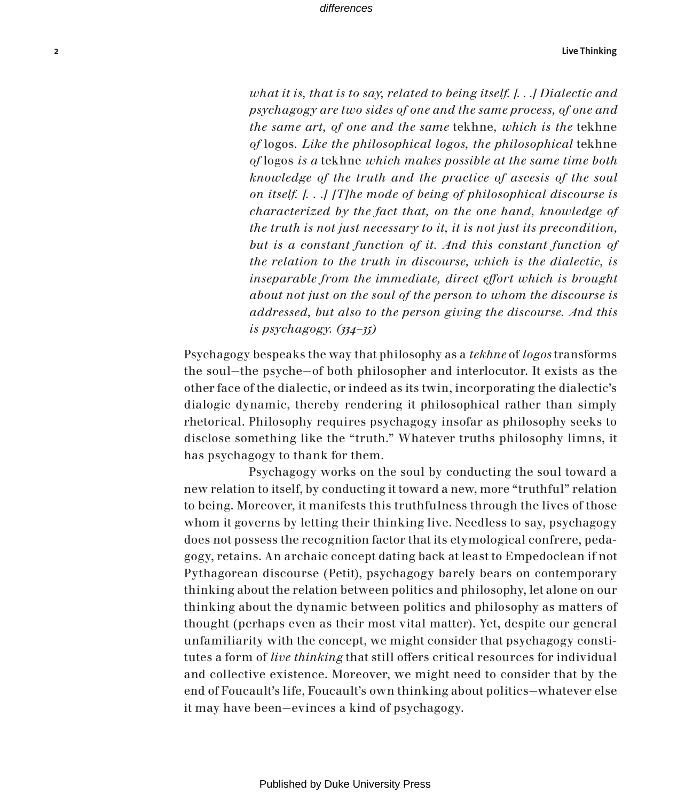**2 Live Thinking**

*what it is, that is to say, related to being itself. [. . .] Dialectic and psychagogy are two sides of one and the same process, of one and the same art, of one and the same* tekhne*, which is the* tekhne *of* logos*. Like the philosophical logos, the philosophical* tekhne *of* logos *is a* tekhne *which makes possible at the same time both knowledge of the truth and the practice of ascesis of the soul on itself. [. . .] [T]he mode of being of philosophical discourse is characterized by the fact that, on the one hand, knowledge of the truth is not just necessary to it, it is not just its precondition, but is a constant function of it. And this constant function of the relation to the truth in discourse, which is the dialectic, is inseparable from the immediate, direct effort which is brought about not just on the soul of the person to whom the discourse is addressed, but also to the person giving the discourse. And this is psychagogy. (334–35)*

Psychagogy bespeaks the way that philosophy as a *tekhne* of *logos* transforms the soul—the psyche—of both philosopher and interlocutor. It exists as the other face of the dialectic, or indeed as its twin, incorporating the dialectic's dialogic dynamic, thereby rendering it philosophical rather than simply rhetorical. Philosophy requires psychagogy insofar as philosophy seeks to disclose something like the "truth." Whatever truths philosophy limns, it has psychagogy to thank for them.

Psychagogy works on the soul by conducting the soul toward a new relation to itself, by conducting it toward a new, more "truthful" relation to being. Moreover, it manifests this truthfulness through the lives of those whom it governs by letting their thinking live. Needless to say, psychagogy does not possess the recognition factor that its etymological confrere, pedagogy, retains. An archaic concept dating back at least to Empedoclean if not Pythagorean discourse (Petit), psychagogy barely bears on contemporary thinking about the relation between politics and philosophy, let alone on our thinking about the dynamic between politics and philosophy as matters of thought (perhaps even as their most vital matter). Yet, despite our general unfamiliarity with the concept, we might consider that psychagogy constitutes a form of *live thinking* that still offers critical resources for individual and collective existence. Moreover, we might need to consider that by the end of Foucault's life, Foucault's own thinking about politics—whatever else it may have been—evinces a kind of psychagogy.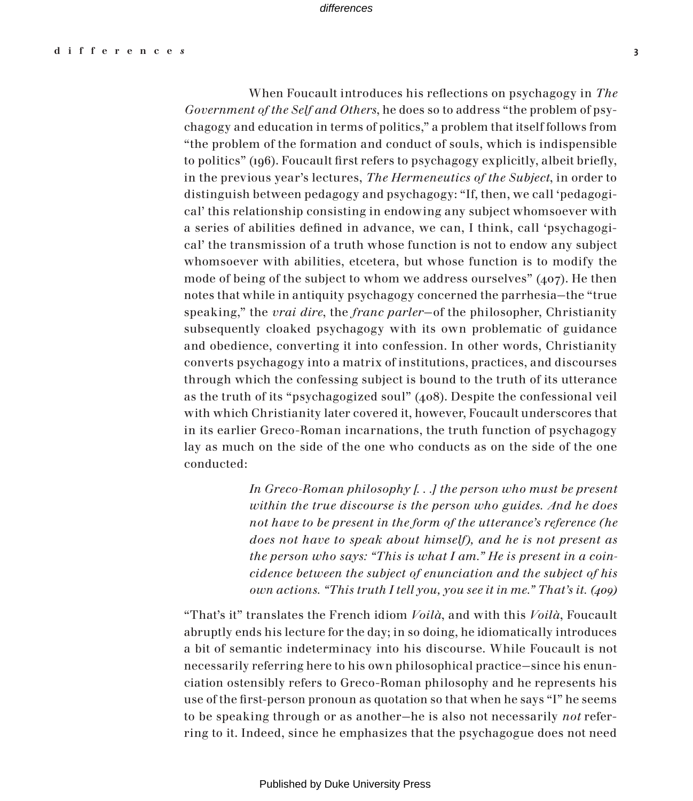difference *s* **3**

When Foucault introduces his reflections on psychagogy in *The Government of the Self and Others*, he does so to address "the problem of psychagogy and education in terms of politics," a problem that itself follows from "the problem of the formation and conduct of souls, which is indispensible to politics" (196). Foucault first refers to psychagogy explicitly, albeit briefly, in the previous year's lectures, *The Hermeneutics of the Subject*, in order to distinguish between pedagogy and psychagogy: "If, then, we call 'pedagogical' this relationship consisting in endowing any subject whomsoever with a series of abilities defined in advance, we can, I think, call 'psychagogical' the transmission of a truth whose function is not to endow any subject whomsoever with abilities, etcetera, but whose function is to modify the mode of being of the subject to whom we address ourselves" (407). He then notes that while in antiquity psychagogy concerned the parrhesia—the "true speaking," the *vrai dire*, the *franc parler*—of the philosopher, Christianity subsequently cloaked psychagogy with its own problematic of guidance and obedience, converting it into confession. In other words, Christianity converts psychagogy into a matrix of institutions, practices, and discourses through which the confessing subject is bound to the truth of its utterance as the truth of its "psychagogized soul" (408). Despite the confessional veil with which Christianity later covered it, however, Foucault underscores that in its earlier Greco-Roman incarnations, the truth function of psychagogy lay as much on the side of the one who conducts as on the side of the one conducted:

> *In Greco-Roman philosophy [. . .] the person who must be present within the true discourse is the person who guides. And he does not have to be present in the form of the utterance's reference (he does not have to speak about himself), and he is not present as the person who says: "This is what I am." He is present in a coincidence between the subject of enunciation and the subject of his own actions. "This truth I tell you, you see it in me." That's it. (409)*

"That's it" translates the French idiom *Voilà*, and with this *Voilà*, Foucault abruptly ends his lecture for the day; in so doing, he idiomatically introduces a bit of semantic indeterminacy into his discourse. While Foucault is not necessarily referring here to his own philosophical practice—since his enunciation ostensibly refers to Greco-Roman philosophy and he represents his use of the first-person pronoun as quotation so that when he says "I" he seems to be speaking through or as another—he is also not necessarily *not* referring to it. Indeed, since he emphasizes that the psychagogue does not need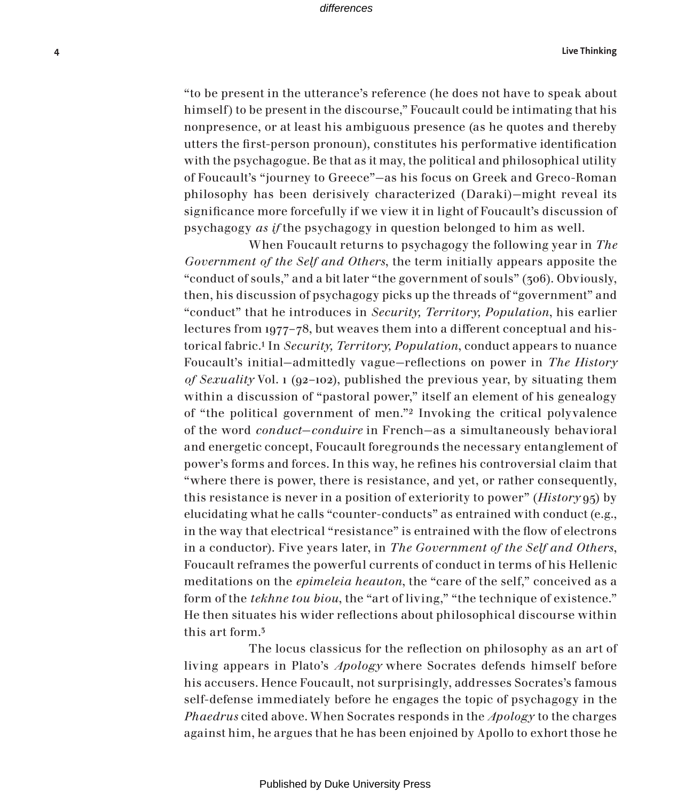"to be present in the utterance's reference (he does not have to speak about himself) to be present in the discourse," Foucault could be intimating that his nonpresence, or at least his ambiguous presence (as he quotes and thereby utters the first-person pronoun), constitutes his performative identification with the psychagogue. Be that as it may, the political and philosophical utility of Foucault's "journey to Greece"—as his focus on Greek and Greco-Roman philosophy has been derisively characterized (Daraki)—might reveal its significance more forcefully if we view it in light of Foucault's discussion of psychagogy *as if* the psychagogy in question belonged to him as well.

When Foucault returns to psychagogy the following year in *The Government of the Self and Others*, the term initially appears apposite the "conduct of souls," and a bit later "the government of souls" (306). Obviously, then, his discussion of psychagogy picks up the threads of "government" and "conduct" that he introduces in *Security, Territory, Population*, his earlier lectures from 1977–78, but weaves them into a different conceptual and historical fabric.1 In *Security, Territory, Population*, conduct appears to nuance Foucault's initial—admittedly vague—reflections on power in *The History of Sexuality* Vol. 1 (92–102), published the previous year, by situating them within a discussion of "pastoral power," itself an element of his genealogy of "the political government of men."2 Invoking the critical polyvalence of the word *conduct*—*conduire* in French—as a simultaneously behavioral and energetic concept, Foucault foregrounds the necessary entanglement of power's forms and forces. In this way, he refines his controversial claim that "where there is power, there is resistance, and yet, or rather consequently, this resistance is never in a position of exteriority to power" (*History* 95) by elucidating what he calls "counter-conducts" as entrained with conduct (e.g., in the way that electrical "resistance" is entrained with the flow of electrons in a conductor). Five years later, in *The Government of the Self and Others*, Foucault reframes the powerful currents of conduct in terms of his Hellenic meditations on the *epimeleia heauton*, the "care of the self," conceived as a form of the *tekhne tou biou*, the "art of living," "the technique of existence." He then situates his wider reflections about philosophical discourse within this art form.3

The locus classicus for the reflection on philosophy as an art of living appears in Plato's *Apology* where Socrates defends himself before his accusers. Hence Foucault, not surprisingly, addresses Socrates's famous self-defense immediately before he engages the topic of psychagogy in the *Phaedrus* cited above. When Socrates responds in the *Apology* to the charges against him, he argues that he has been enjoined by Apollo to exhort those he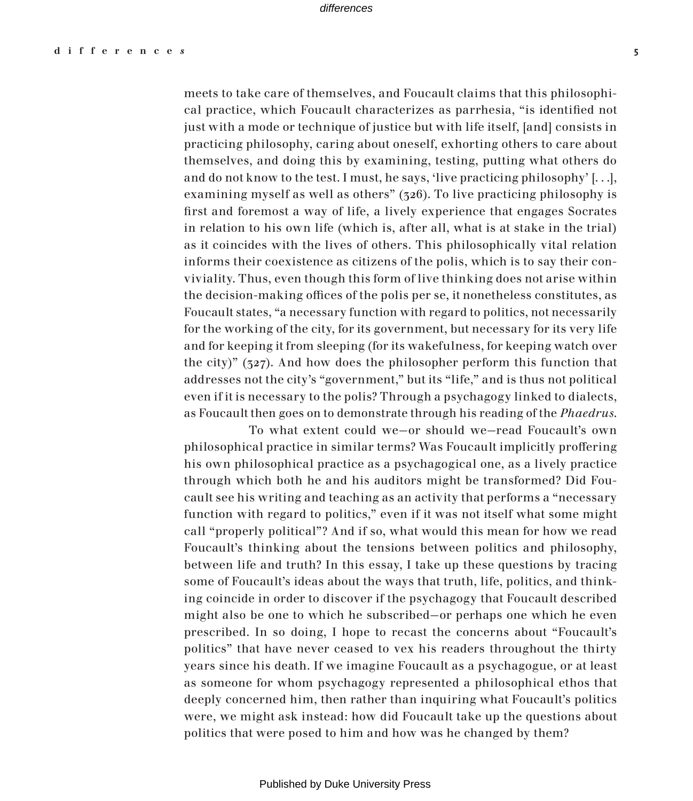meets to take care of themselves, and Foucault claims that this philosophical practice, which Foucault characterizes as parrhesia, "is identified not just with a mode or technique of justice but with life itself, [and] consists in practicing philosophy, caring about oneself, exhorting others to care about themselves, and doing this by examining, testing, putting what others do and do not know to the test. I must, he says, 'live practicing philosophy' [. . .], examining myself as well as others" (326). To live practicing philosophy is first and foremost a way of life, a lively experience that engages Socrates in relation to his own life (which is, after all, what is at stake in the trial) as it coincides with the lives of others. This philosophically vital relation informs their coexistence as citizens of the polis, which is to say their conviviality. Thus, even though this form of live thinking does not arise within the decision-making offices of the polis per se, it nonetheless constitutes, as Foucault states, "a necessary function with regard to politics, not necessarily for the working of the city, for its government, but necessary for its very life and for keeping it from sleeping (for its wakefulness, for keeping watch over the city)"  $(327)$ . And how does the philosopher perform this function that addresses not the city's "government," but its "life," and is thus not political even if it is necessary to the polis? Through a psychagogy linked to dialects, as Foucault then goes on to demonstrate through his reading of the *Phaedrus*.

To what extent could we—or should we—read Foucault's own philosophical practice in similar terms? Was Foucault implicitly proffering his own philosophical practice as a psychagogical one, as a lively practice through which both he and his auditors might be transformed? Did Foucault see his writing and teaching as an activity that performs a "necessary function with regard to politics," even if it was not itself what some might call "properly political"? And if so, what would this mean for how we read Foucault's thinking about the tensions between politics and philosophy, between life and truth? In this essay, I take up these questions by tracing some of Foucault's ideas about the ways that truth, life, politics, and thinking coincide in order to discover if the psychagogy that Foucault described might also be one to which he subscribed—or perhaps one which he even prescribed. In so doing, I hope to recast the concerns about "Foucault's politics" that have never ceased to vex his readers throughout the thirty years since his death. If we imagine Foucault as a psychagogue, or at least as someone for whom psychagogy represented a philosophical ethos that deeply concerned him, then rather than inquiring what Foucault's politics were, we might ask instead: how did Foucault take up the questions about politics that were posed to him and how was he changed by them?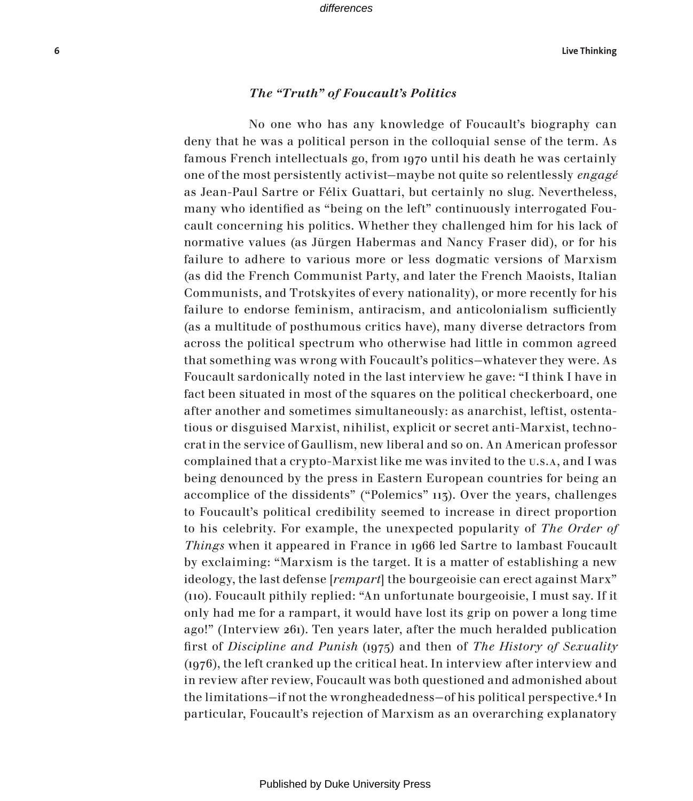## *The "Truth" of Foucault's Politics*

No one who has any knowledge of Foucault's biography can deny that he was a political person in the colloquial sense of the term. As famous French intellectuals go, from 1970 until his death he was certainly one of the most persistently activist—maybe not quite so relentlessly *engagé* as Jean-Paul Sartre or Félix Guattari, but certainly no slug. Nevertheless, many who identified as "being on the left" continuously interrogated Foucault concerning his politics. Whether they challenged him for his lack of normative values (as Jürgen Habermas and Nancy Fraser did), or for his failure to adhere to various more or less dogmatic versions of Marxism (as did the French Communist Party, and later the French Maoists, Italian Communists, and Trotskyites of every nationality), or more recently for his failure to endorse feminism, antiracism, and anticolonialism sufficiently (as a multitude of posthumous critics have), many diverse detractors from across the political spectrum who otherwise had little in common agreed that something was wrong with Foucault's politics—whatever they were. As Foucault sardonically noted in the last interview he gave: "I think I have in fact been situated in most of the squares on the political checkerboard, one after another and sometimes simultaneously: as anarchist, leftist, ostentatious or disguised Marxist, nihilist, explicit or secret anti-Marxist, technocrat in the service of Gaullism, new liberal and so on. An American professor complained that a crypto-Marxist like me was invited to the u.s.a, and I was being denounced by the press in Eastern European countries for being an accomplice of the dissidents" ("Polemics" 113). Over the years, challenges to Foucault's political credibility seemed to increase in direct proportion to his celebrity. For example, the unexpected popularity of *The Order of Things* when it appeared in France in 1966 led Sartre to lambast Foucault by exclaiming: "Marxism is the target. It is a matter of establishing a new ideology, the last defense [*rempart*] the bourgeoisie can erect against Marx" (110). Foucault pithily replied: "An unfortunate bourgeoisie, I must say. If it only had me for a rampart, it would have lost its grip on power a long time ago!" (Interview 261). Ten years later, after the much heralded publication first of *Discipline and Punish* (1975) and then of *The History of Sexuality* (1976), the left cranked up the critical heat. In interview after interview and in review after review, Foucault was both questioned and admonished about the limitations—if not the wrongheadedness—of his political perspective.4 In particular, Foucault's rejection of Marxism as an overarching explanatory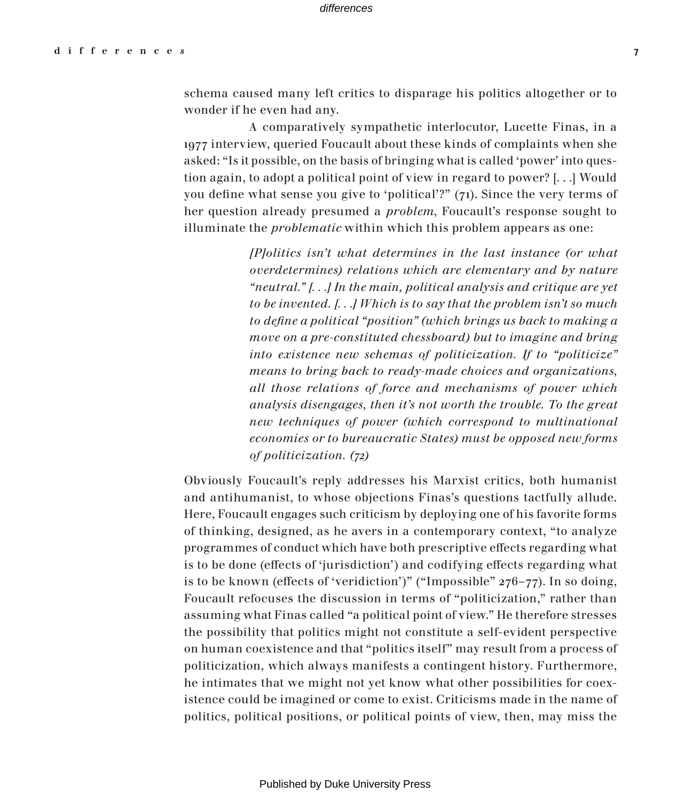schema caused many left critics to disparage his politics altogether or to wonder if he even had any.

A comparatively sympathetic interlocutor, Lucette Finas, in a 1977 interview, queried Foucault about these kinds of complaints when she asked: "Is it possible, on the basis of bringing what is called 'power' into question again, to adopt a political point of view in regard to power? [. . .] Would you define what sense you give to 'political'?" (71). Since the very terms of her question already presumed a *problem*, Foucault's response sought to illuminate the *problematic* within which this problem appears as one:

> *[P]olitics isn't what determines in the last instance (or what overdetermines) relations which are elementary and by nature "neutral." [. . .] In the main, political analysis and critique are yet to be invented. [. . .] Which is to say that the problem isn't so much to define a political "position" (which brings us back to making a move on a pre-constituted chessboard) but to imagine and bring into existence new schemas of politicization. If to "politicize" means to bring back to ready-made choices and organizations, all those relations of force and mechanisms of power which analysis disengages, then it's not worth the trouble. To the great new techniques of power (which correspond to multinational economies or to bureaucratic States) must be opposed new forms of politicization. (72)*

Obviously Foucault's reply addresses his Marxist critics, both humanist and antihumanist, to whose objections Finas's questions tactfully allude. Here, Foucault engages such criticism by deploying one of his favorite forms of thinking, designed, as he avers in a contemporary context, "to analyze programmes of conduct which have both prescriptive effects regarding what is to be done (effects of 'jurisdiction') and codifying effects regarding what is to be known (effects of 'veridiction')" ("Impossible" 276–77). In so doing, Foucault refocuses the discussion in terms of "politicization," rather than assuming what Finas called "a political point of view." He therefore stresses the possibility that politics might not constitute a self-evident perspective on human coexistence and that "politics itself" may result from a process of politicization, which always manifests a contingent history. Furthermore, he intimates that we might not yet know what other possibilities for coexistence could be imagined or come to exist. Criticisms made in the name of politics, political positions, or political points of view, then, may miss the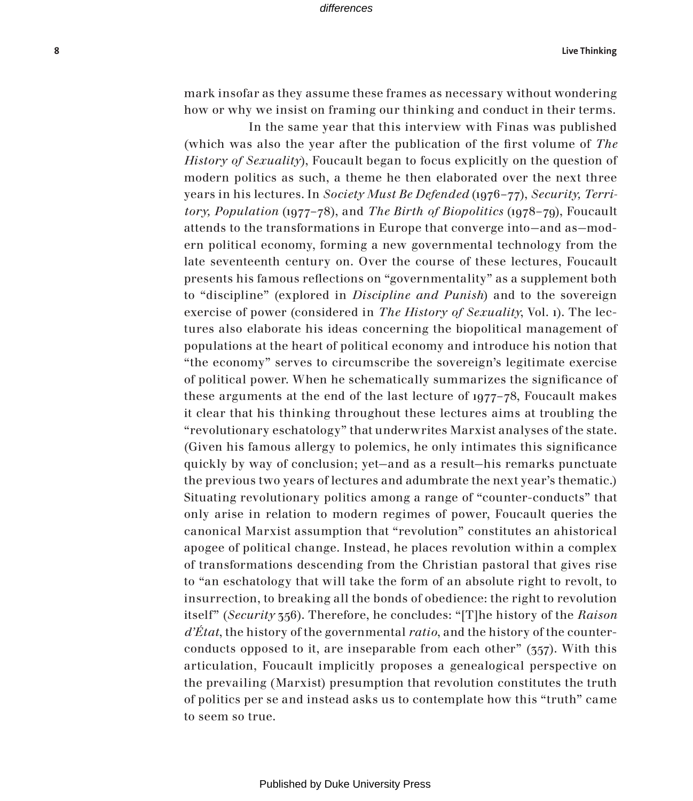mark insofar as they assume these frames as necessary without wondering how or why we insist on framing our thinking and conduct in their terms.

In the same year that this interview with Finas was published (which was also the year after the publication of the first volume of *The History of Sexuality*), Foucault began to focus explicitly on the question of modern politics as such, a theme he then elaborated over the next three years in his lectures. In *Society Must Be Defended* (1976–77), *Security, Territory, Population* (1977–78), and *The Birth of Biopolitics* (1978–79), Foucault attends to the transformations in Europe that converge into—and as—modern political economy, forming a new governmental technology from the late seventeenth century on. Over the course of these lectures, Foucault presents his famous reflections on "governmentality" as a supplement both to "discipline" (explored in *Discipline and Punish*) and to the sovereign exercise of power (considered in *The History of Sexuality*, Vol. 1). The lectures also elaborate his ideas concerning the biopolitical management of populations at the heart of political economy and introduce his notion that "the economy" serves to circumscribe the sovereign's legitimate exercise of political power. When he schematically summarizes the significance of these arguments at the end of the last lecture of 1977–78, Foucault makes it clear that his thinking throughout these lectures aims at troubling the "revolutionary eschatology" that underwrites Marxist analyses of the state. (Given his famous allergy to polemics, he only intimates this significance quickly by way of conclusion; yet—and as a result—his remarks punctuate the previous two years of lectures and adumbrate the next year's thematic.) Situating revolutionary politics among a range of "counter-conducts" that only arise in relation to modern regimes of power, Foucault queries the canonical Marxist assumption that "revolution" constitutes an ahistorical apogee of political change. Instead, he places revolution within a complex of transformations descending from the Christian pastoral that gives rise to "an eschatology that will take the form of an absolute right to revolt, to insurrection, to breaking all the bonds of obedience: the right to revolution itself" (*Security* 356). Therefore, he concludes: "[T]he history of the *Raison d'État*, the history of the governmental *ratio*, and the history of the counterconducts opposed to it, are inseparable from each other" (357). With this articulation, Foucault implicitly proposes a genealogical perspective on the prevailing (Marxist) presumption that revolution constitutes the truth of politics per se and instead asks us to contemplate how this "truth" came to seem so true.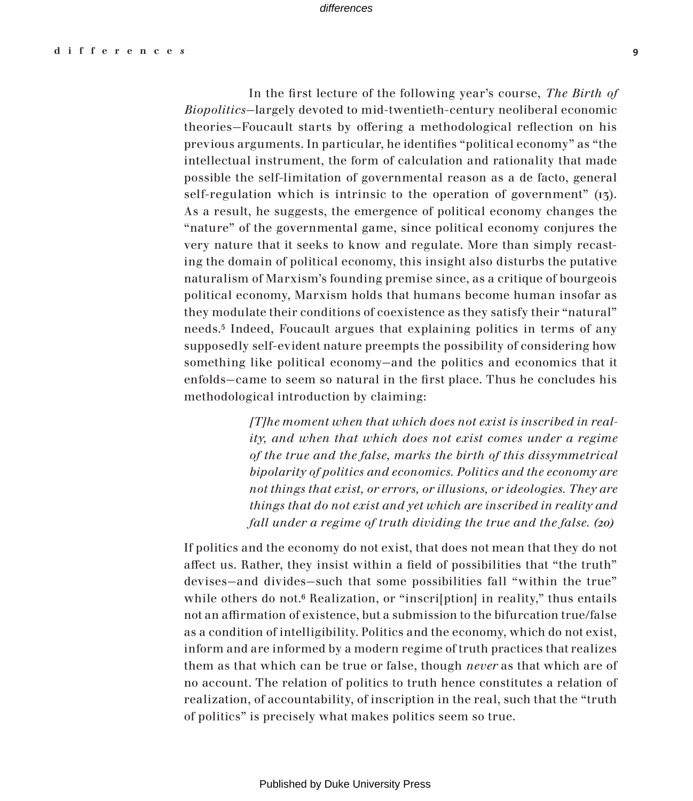difference *s* **9**

In the first lecture of the following year's course, *The Birth of Biopolitics*—largely devoted to mid-twentieth-century neoliberal economic theories—Foucault starts by offering a methodological reflection on his previous arguments. In particular, he identifies "political economy" as "the intellectual instrument, the form of calculation and rationality that made possible the self-limitation of governmental reason as a de facto, general self-regulation which is intrinsic to the operation of government"  $(15)$ . As a result, he suggests, the emergence of political economy changes the "nature" of the governmental game, since political economy conjures the very nature that it seeks to know and regulate. More than simply recasting the domain of political economy, this insight also disturbs the putative naturalism of Marxism's founding premise since, as a critique of bourgeois political economy, Marxism holds that humans become human insofar as they modulate their conditions of coexistence as they satisfy their "natural" needs.5 Indeed, Foucault argues that explaining politics in terms of any supposedly self-evident nature preempts the possibility of considering how something like political economy—and the politics and economics that it enfolds—came to seem so natural in the first place. Thus he concludes his methodological introduction by claiming:

> *[T]he moment when that which does not exist is inscribed in reality, and when that which does not exist comes under a regime of the true and the false, marks the birth of this dissymmetrical bipolarity of politics and economics. Politics and the economy are not things that exist, or errors, or illusions, or ideologies. They are things that do not exist and yet which are inscribed in reality and fall under a regime of truth dividing the true and the false. (20)*

If politics and the economy do not exist, that does not mean that they do not affect us. Rather, they insist within a field of possibilities that "the truth" devises—and divides—such that some possibilities fall "within the true" while others do not.<sup>6</sup> Realization, or "inscription in reality," thus entails not an affirmation of existence, but a submission to the bifurcation true/false as a condition of intelligibility. Politics and the economy, which do not exist, inform and are informed by a modern regime of truth practices that realizes them as that which can be true or false, though *never* as that which are of no account. The relation of politics to truth hence constitutes a relation of realization, of accountability, of inscription in the real, such that the "truth of politics" is precisely what makes politics seem so true.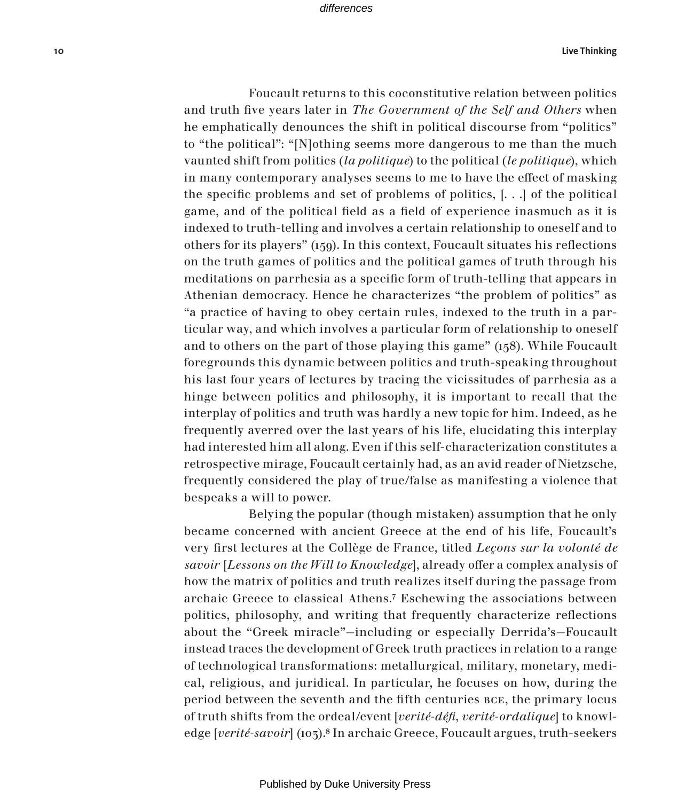**10 Live Thinking**

Foucault returns to this coconstitutive relation between politics and truth five years later in *The Government of the Self and Others* when he emphatically denounces the shift in political discourse from "politics" to "the political": "[N]othing seems more dangerous to me than the much vaunted shift from politics (*la politique*) to the political (*le politique*), which in many contemporary analyses seems to me to have the effect of masking the specific problems and set of problems of politics, [. . .] of the political game, and of the political field as a field of experience inasmuch as it is indexed to truth-telling and involves a certain relationship to oneself and to others for its players" (159). In this context, Foucault situates his reflections on the truth games of politics and the political games of truth through his meditations on parrhesia as a specific form of truth-telling that appears in Athenian democracy. Hence he characterizes "the problem of politics" as "a practice of having to obey certain rules, indexed to the truth in a particular way, and which involves a particular form of relationship to oneself and to others on the part of those playing this game" (158). While Foucault foregrounds this dynamic between politics and truth-speaking throughout his last four years of lectures by tracing the vicissitudes of parrhesia as a hinge between politics and philosophy, it is important to recall that the interplay of politics and truth was hardly a new topic for him. Indeed, as he frequently averred over the last years of his life, elucidating this interplay had interested him all along. Even if this self-characterization constitutes a retrospective mirage, Foucault certainly had, as an avid reader of Nietzsche, frequently considered the play of true/false as manifesting a violence that bespeaks a will to power.

Belying the popular (though mistaken) assumption that he only became concerned with ancient Greece at the end of his life, Foucault's very first lectures at the Collège de France, titled *Leçons sur la volonté de savoir* [*Lessons on the Will to Knowledge*], already offer a complex analysis of how the matrix of politics and truth realizes itself during the passage from archaic Greece to classical Athens.7 Eschewing the associations between politics, philosophy, and writing that frequently characterize reflections about the "Greek miracle"—including or especially Derrida's—Foucault instead traces the development of Greek truth practices in relation to a range of technological transformations: metallurgical, military, monetary, medical, religious, and juridical. In particular, he focuses on how, during the period between the seventh and the fifth centuries bce, the primary locus of truth shifts from the ordeal/event [*verité-défi*, *verité-ordalique*] to knowledge [*verité-savoir*] (103).8 In archaic Greece, Foucault argues, truth-seekers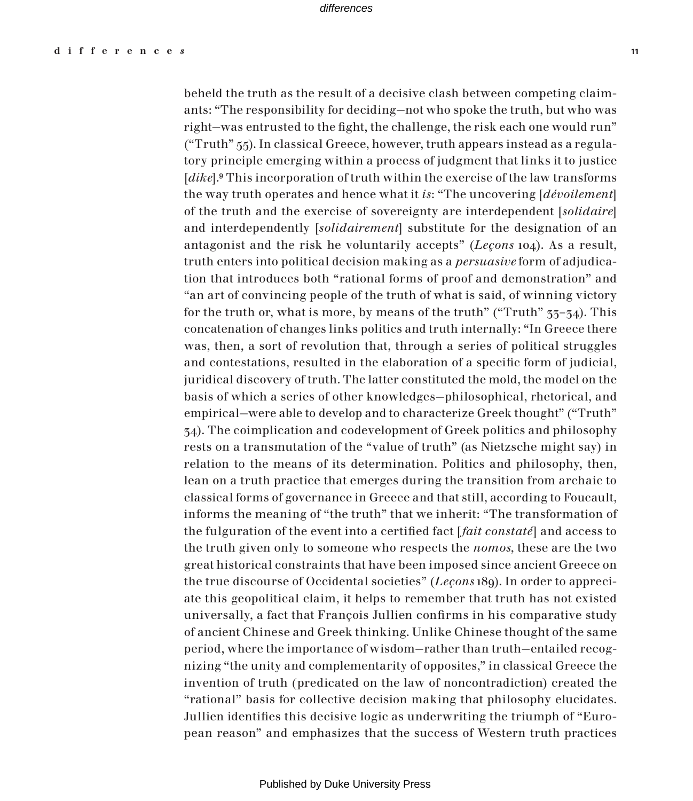beheld the truth as the result of a decisive clash between competing claimants: "The responsibility for deciding—not who spoke the truth, but who was right—was entrusted to the fight, the challenge, the risk each one would run" ("Truth"  $55$ ). In classical Greece, however, truth appears instead as a regulatory principle emerging within a process of judgment that links it to justice [*dike*].9 This incorporation of truth within the exercise of the law transforms the way truth operates and hence what it *is*: "The uncovering [*dévoilement*] of the truth and the exercise of sovereignty are interdependent [*solidaire*] and interdependently [*solidairement*] substitute for the designation of an antagonist and the risk he voluntarily accepts" (*Leçons* 104). As a result, truth enters into political decision making as a *persuasive* form of adjudication that introduces both "rational forms of proof and demonstration" and "an art of convincing people of the truth of what is said, of winning victory for the truth or, what is more, by means of the truth" ("Truth"  $35-34$ ). This concatenation of changes links politics and truth internally: "In Greece there was, then, a sort of revolution that, through a series of political struggles and contestations, resulted in the elaboration of a specific form of judicial, juridical discovery of truth. The latter constituted the mold, the model on the basis of which a series of other knowledges—philosophical, rhetorical, and empirical—were able to develop and to characterize Greek thought" ("Truth" 34). The coimplication and codevelopment of Greek politics and philosophy rests on a transmutation of the "value of truth" (as Nietzsche might say) in relation to the means of its determination. Politics and philosophy, then, lean on a truth practice that emerges during the transition from archaic to classical forms of governance in Greece and that still, according to Foucault, informs the meaning of "the truth" that we inherit: "The transformation of the fulguration of the event into a certified fact [*fait constaté*] and access to the truth given only to someone who respects the *nomos*, these are the two great historical constraints that have been imposed since ancient Greece on the true discourse of Occidental societies" (*Leçons* 189). In order to appreciate this geopolitical claim, it helps to remember that truth has not existed universally, a fact that François Jullien confirms in his comparative study of ancient Chinese and Greek thinking. Unlike Chinese thought of the same period, where the importance of wisdom—rather than truth—entailed recognizing "the unity and complementarity of opposites," in classical Greece the invention of truth (predicated on the law of noncontradiction) created the "rational" basis for collective decision making that philosophy elucidates. Jullien identifies this decisive logic as underwriting the triumph of "European reason" and emphasizes that the success of Western truth practices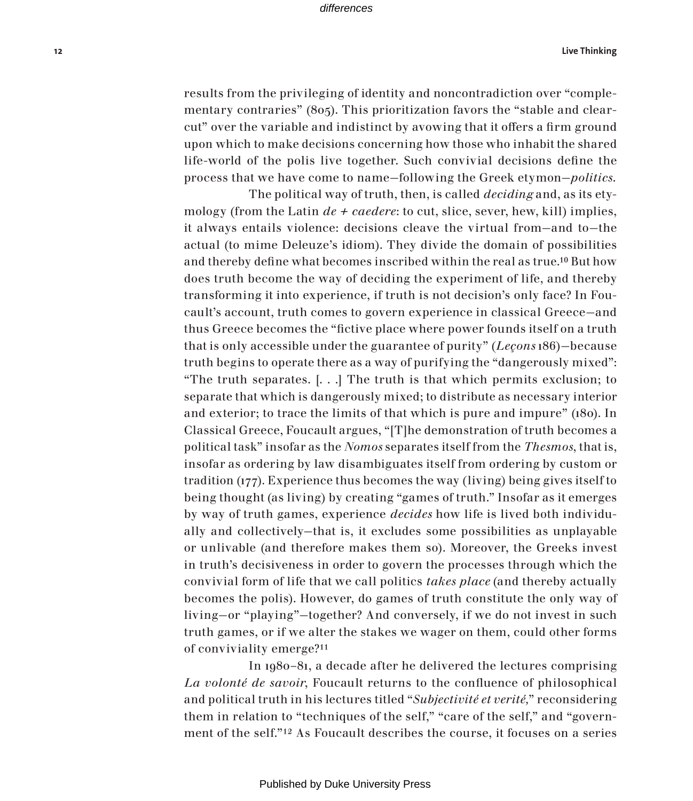results from the privileging of identity and noncontradiction over "complementary contraries" (805). This prioritization favors the "stable and clearcut" over the variable and indistinct by avowing that it offers a firm ground upon which to make decisions concerning how those who inhabit the shared life-world of the polis live together. Such convivial decisions define the process that we have come to name—following the Greek etymon—*politics*.

The political way of truth, then, is called *deciding* and, as its etymology (from the Latin *de + caedere*: to cut, slice, sever, hew, kill) implies, it always entails violence: decisions cleave the virtual from—and to—the actual (to mime Deleuze's idiom). They divide the domain of possibilities and thereby define what becomes inscribed within the real as true.10 But how does truth become the way of deciding the experiment of life, and thereby transforming it into experience, if truth is not decision's only face? In Foucault's account, truth comes to govern experience in classical Greece—and thus Greece becomes the "fictive place where power founds itself on a truth that is only accessible under the guarantee of purity" (*Leçons* 186)—because truth begins to operate there as a way of purifying the "dangerously mixed": "The truth separates. [. . .] The truth is that which permits exclusion; to separate that which is dangerously mixed; to distribute as necessary interior and exterior; to trace the limits of that which is pure and impure" (180). In Classical Greece, Foucault argues, "[T]he demonstration of truth becomes a political task" insofar as the *Nomos* separates itself from the *Thesmos*, that is, insofar as ordering by law disambiguates itself from ordering by custom or tradition (177). Experience thus becomes the way (living) being gives itself to being thought (as living) by creating "games of truth." Insofar as it emerges by way of truth games, experience *decides* how life is lived both individually and collectively—that is, it excludes some possibilities as unplayable or unlivable (and therefore makes them so). Moreover, the Greeks invest in truth's decisiveness in order to govern the processes through which the convivial form of life that we call politics *takes place* (and thereby actually becomes the polis). However, do games of truth constitute the only way of living—or "playing"—together? And conversely, if we do not invest in such truth games, or if we alter the stakes we wager on them, could other forms of conviviality emerge?11

In 1980–81, a decade after he delivered the lectures comprising *La volonté de savoir*, Foucault returns to the confluence of philosophical and political truth in his lectures titled "*Subjectivité et verité,*" reconsidering them in relation to "techniques of the self," "care of the self," and "government of the self."12 As Foucault describes the course, it focuses on a series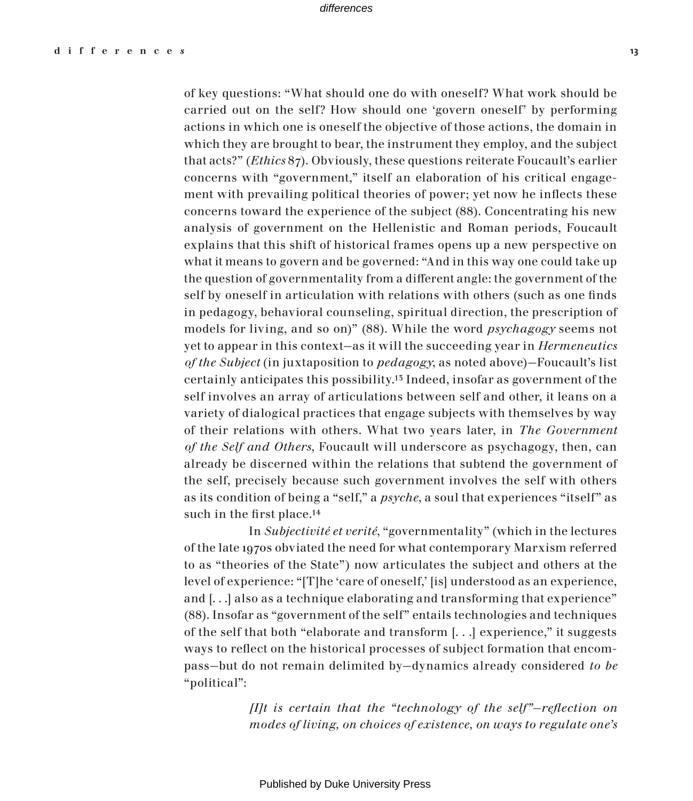of key questions: "What should one do with oneself? What work should be carried out on the self? How should one 'govern oneself' by performing actions in which one is oneself the objective of those actions, the domain in which they are brought to bear, the instrument they employ, and the subject that acts?" (*Ethics* 87). Obviously, these questions reiterate Foucault's earlier concerns with "government," itself an elaboration of his critical engagement with prevailing political theories of power; yet now he inflects these concerns toward the experience of the subject (88). Concentrating his new analysis of government on the Hellenistic and Roman periods, Foucault explains that this shift of historical frames opens up a new perspective on what it means to govern and be governed: "And in this way one could take up the question of governmentality from a different angle: the government of the self by oneself in articulation with relations with others (such as one finds in pedagogy, behavioral counseling, spiritual direction, the prescription of models for living, and so on)" (88). While the word *psychagogy* seems not yet to appear in this context—as it will the succeeding year in *Hermeneutics of the Subject* (in juxtaposition to *pedagogy*, as noted above)—Foucault's list certainly anticipates this possibility.13 Indeed, insofar as government of the self involves an array of articulations between self and other, it leans on a variety of dialogical practices that engage subjects with themselves by way of their relations with others. What two years later, in *The Government of the Self and Others*, Foucault will underscore as psychagogy, then, can already be discerned within the relations that subtend the government of the self, precisely because such government involves the self with others as its condition of being a "self," a *psyche*, a soul that experiences "itself" as such in the first place.14

In *Subjectivité et verité*, "governmentality" (which in the lectures of the late 1970s obviated the need for what contemporary Marxism referred to as "theories of the State") now articulates the subject and others at the level of experience: "[T]he 'care of oneself,' [is] understood as an experience, and [. . .] also as a technique elaborating and transforming that experience" (88). Insofar as "government of the self" entails technologies and techniques of the self that both "elaborate and transform [. . .] experience," it suggests ways to reflect on the historical processes of subject formation that encompass—but do not remain delimited by—dynamics already considered *to be* "political":

> *[I]t is certain that the "technology of the self"—reflection on modes of living, on choices of existence, on ways to regulate one's*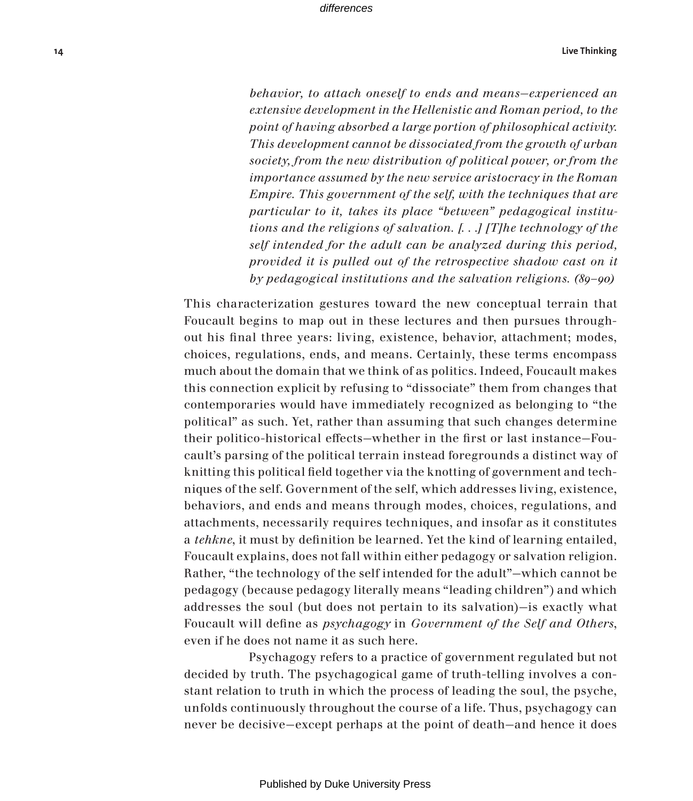**14 Live Thinking**

*behavior, to attach oneself to ends and means—experienced an extensive development in the Hellenistic and Roman period, to the point of having absorbed a large portion of philosophical activity. This development cannot be dissociated from the growth of urban society, from the new distribution of political power, or from the importance assumed by the new service aristocracy in the Roman Empire. This government of the self, with the techniques that are particular to it, takes its place "between" pedagogical institutions and the religions of salvation. [. . .] [T]he technology of the self intended for the adult can be analyzed during this period, provided it is pulled out of the retrospective shadow cast on it by pedagogical institutions and the salvation religions. (89–90)*

This characterization gestures toward the new conceptual terrain that Foucault begins to map out in these lectures and then pursues throughout his final three years: living, existence, behavior, attachment; modes, choices, regulations, ends, and means. Certainly, these terms encompass much about the domain that we think of as politics. Indeed, Foucault makes this connection explicit by refusing to "dissociate" them from changes that contemporaries would have immediately recognized as belonging to "the political" as such. Yet, rather than assuming that such changes determine their politico-historical effects—whether in the first or last instance—Foucault's parsing of the political terrain instead foregrounds a distinct way of knitting this political field together via the knotting of government and techniques of the self. Government of the self, which addresses living, existence, behaviors, and ends and means through modes, choices, regulations, and attachments, necessarily requires techniques, and insofar as it constitutes a *tehkne*, it must by definition be learned. Yet the kind of learning entailed, Foucault explains, does not fall within either pedagogy or salvation religion. Rather, "the technology of the self intended for the adult"—which cannot be pedagogy (because pedagogy literally means "leading children") and which addresses the soul (but does not pertain to its salvation)—is exactly what Foucault will define as *psychagogy* in *Government of the Self and Others*, even if he does not name it as such here.

Psychagogy refers to a practice of government regulated but not decided by truth. The psychagogical game of truth-telling involves a constant relation to truth in which the process of leading the soul, the psyche, unfolds continuously throughout the course of a life. Thus, psychagogy can never be decisive—except perhaps at the point of death—and hence it does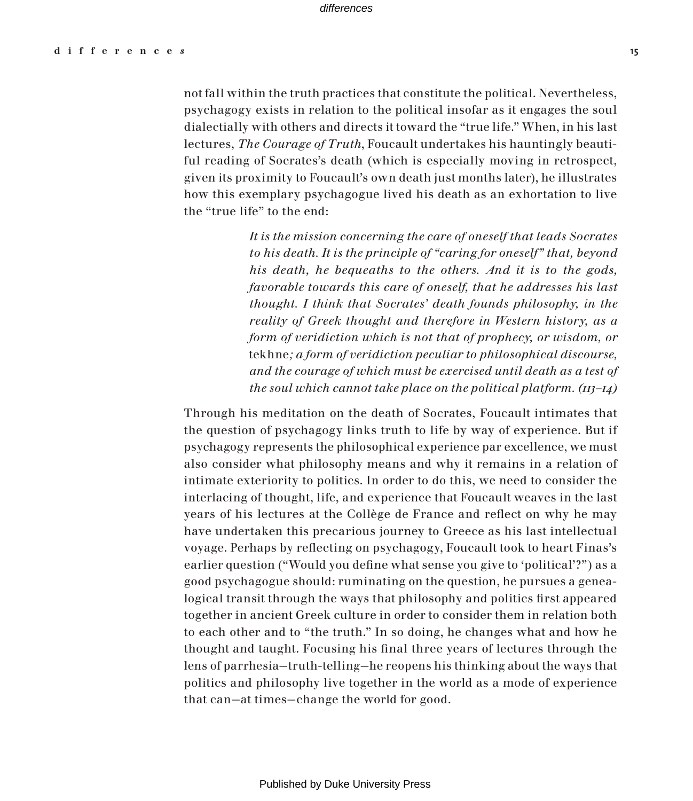not fall within the truth practices that constitute the political. Nevertheless, psychagogy exists in relation to the political insofar as it engages the soul dialectially with others and directs it toward the "true life." When, in his last lectures, *The Courage of Truth*, Foucault undertakes his hauntingly beautiful reading of Socrates's death (which is especially moving in retrospect, given its proximity to Foucault's own death just months later), he illustrates how this exemplary psychagogue lived his death as an exhortation to live the "true life" to the end:

> *It is the mission concerning the care of oneself that leads Socrates to his death. It is the principle of "caring for oneself" that, beyond his death, he bequeaths to the others. And it is to the gods, favorable towards this care of oneself, that he addresses his last thought. I think that Socrates' death founds philosophy, in the reality of Greek thought and therefore in Western history, as a form of veridiction which is not that of prophecy, or wisdom, or* tekhne*; a form of veridiction peculiar to philosophical discourse, and the courage of which must be exercised until death as a test of the soul which cannot take place on the political platform. (113–14)*

Through his meditation on the death of Socrates, Foucault intimates that the question of psychagogy links truth to life by way of experience. But if psychagogy represents the philosophical experience par excellence, we must also consider what philosophy means and why it remains in a relation of intimate exteriority to politics. In order to do this, we need to consider the interlacing of thought, life, and experience that Foucault weaves in the last years of his lectures at the Collège de France and reflect on why he may have undertaken this precarious journey to Greece as his last intellectual voyage. Perhaps by reflecting on psychagogy, Foucault took to heart Finas's earlier question ("Would you define what sense you give to 'political'?") as a good psychagogue should: ruminating on the question, he pursues a genealogical transit through the ways that philosophy and politics first appeared together in ancient Greek culture in order to consider them in relation both to each other and to "the truth." In so doing, he changes what and how he thought and taught. Focusing his final three years of lectures through the lens of parrhesia—truth-telling—he reopens his thinking about the ways that politics and philosophy live together in the world as a mode of experience that can—at times—change the world for good.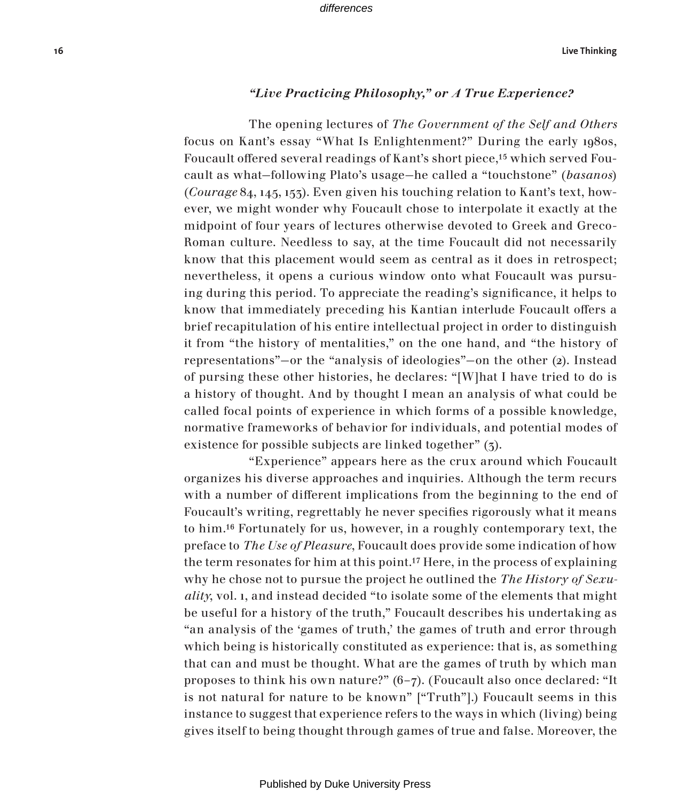## *"Live Practicing Philosophy," or A True Experience?*

The opening lectures of *The Government of the Self and Others* focus on Kant's essay "What Is Enlightenment?" During the early 1980s, Foucault offered several readings of Kant's short piece,15 which served Foucault as what—following Plato's usage—he called a "touchstone" (*basanos*) (*Courage* 84, 145, 153). Even given his touching relation to Kant's text, however, we might wonder why Foucault chose to interpolate it exactly at the midpoint of four years of lectures otherwise devoted to Greek and Greco-Roman culture. Needless to say, at the time Foucault did not necessarily know that this placement would seem as central as it does in retrospect; nevertheless, it opens a curious window onto what Foucault was pursuing during this period. To appreciate the reading's significance, it helps to know that immediately preceding his Kantian interlude Foucault offers a brief recapitulation of his entire intellectual project in order to distinguish it from "the history of mentalities," on the one hand, and "the history of representations"—or the "analysis of ideologies"—on the other (2). Instead of pursing these other histories, he declares: "[W]hat I have tried to do is a history of thought. And by thought I mean an analysis of what could be called focal points of experience in which forms of a possible knowledge, normative frameworks of behavior for individuals, and potential modes of existence for possible subjects are linked together" (3).

"Experience" appears here as the crux around which Foucault organizes his diverse approaches and inquiries. Although the term recurs with a number of different implications from the beginning to the end of Foucault's writing, regrettably he never specifies rigorously what it means to him.16 Fortunately for us, however, in a roughly contemporary text, the preface to *The Use of Pleasure*, Foucault does provide some indication of how the term resonates for him at this point.17 Here, in the process of explaining why he chose not to pursue the project he outlined the *The History of Sexuality*, vol. 1, and instead decided "to isolate some of the elements that might be useful for a history of the truth," Foucault describes his undertaking as "an analysis of the 'games of truth,' the games of truth and error through which being is historically constituted as experience: that is, as something that can and must be thought. What are the games of truth by which man proposes to think his own nature?" (6–7). (Foucault also once declared: "It is not natural for nature to be known" ["Truth"].) Foucault seems in this instance to suggest that experience refers to the ways in which (living) being gives itself to being thought through games of true and false. Moreover, the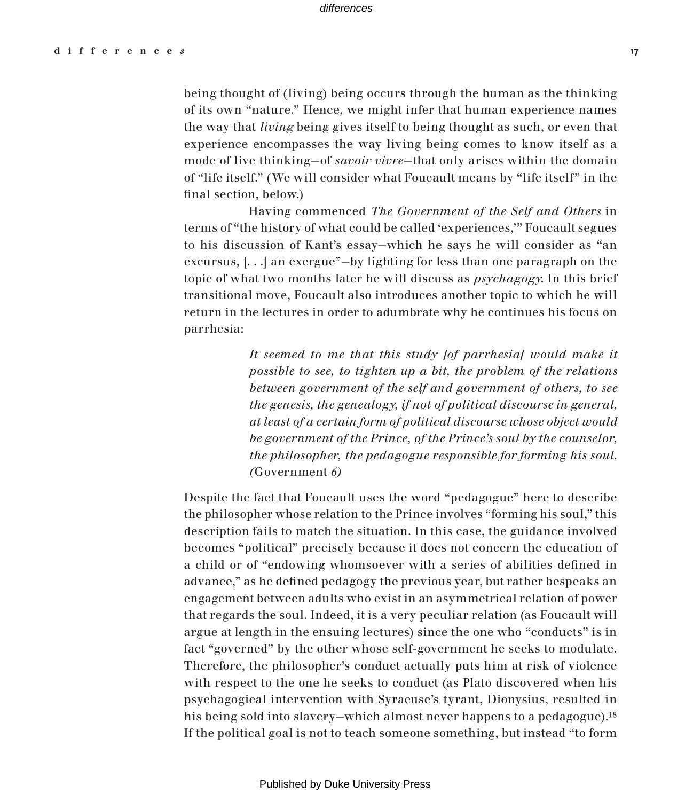being thought of (living) being occurs through the human as the thinking of its own "nature." Hence, we might infer that human experience names the way that *living* being gives itself to being thought as such, or even that experience encompasses the way living being comes to know itself as a mode of live thinking—of *savoir vivre*—that only arises within the domain of "life itself." (We will consider what Foucault means by "life itself" in the final section, below.)

Having commenced *The Government of the Self and Others* in terms of "the history of what could be called 'experiences,'" Foucault segues to his discussion of Kant's essay—which he says he will consider as "an excursus, [. . .] an exergue"—by lighting for less than one paragraph on the topic of what two months later he will discuss as *psychagogy*. In this brief transitional move, Foucault also introduces another topic to which he will return in the lectures in order to adumbrate why he continues his focus on parrhesia:

> *It seemed to me that this study [of parrhesia] would make it possible to see, to tighten up a bit, the problem of the relations between government of the self and government of others, to see the genesis, the genealogy, if not of political discourse in general, at least of a certain form of political discourse whose object would be government of the Prince, of the Prince's soul by the counselor, the philosopher, the pedagogue responsible for forming his soul. (*Government *6)*

Despite the fact that Foucault uses the word "pedagogue" here to describe the philosopher whose relation to the Prince involves "forming his soul," this description fails to match the situation. In this case, the guidance involved becomes "political" precisely because it does not concern the education of a child or of "endowing whomsoever with a series of abilities defined in advance," as he defined pedagogy the previous year, but rather bespeaks an engagement between adults who exist in an asymmetrical relation of power that regards the soul. Indeed, it is a very peculiar relation (as Foucault will argue at length in the ensuing lectures) since the one who "conducts" is in fact "governed" by the other whose self-government he seeks to modulate. Therefore, the philosopher's conduct actually puts him at risk of violence with respect to the one he seeks to conduct (as Plato discovered when his psychagogical intervention with Syracuse's tyrant, Dionysius, resulted in his being sold into slavery—which almost never happens to a pedagogue).<sup>18</sup> If the political goal is not to teach someone something, but instead "to form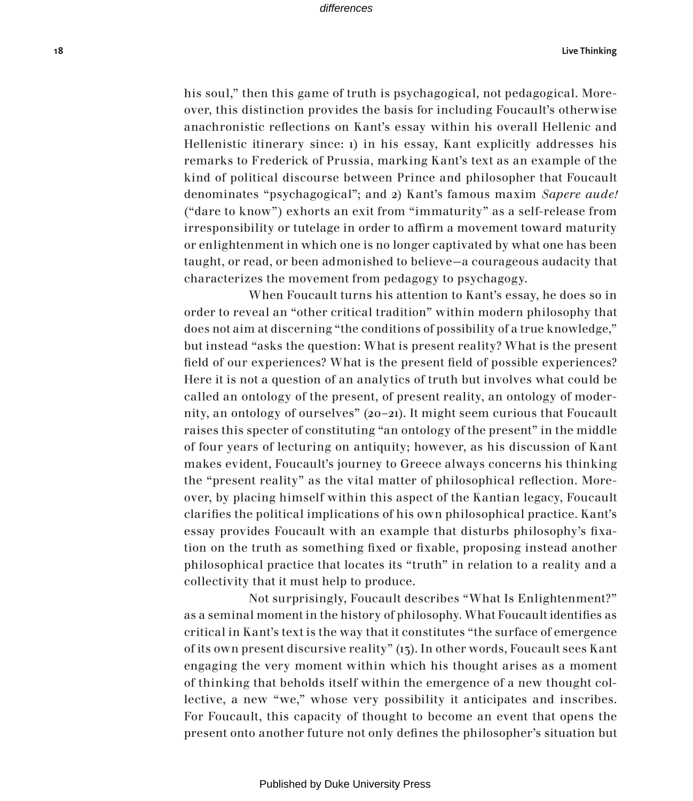**18 Live Thinking**

his soul," then this game of truth is psychagogical, not pedagogical. Moreover, this distinction provides the basis for including Foucault's otherwise anachronistic reflections on Kant's essay within his overall Hellenic and Hellenistic itinerary since: 1) in his essay, Kant explicitly addresses his remarks to Frederick of Prussia, marking Kant's text as an example of the kind of political discourse between Prince and philosopher that Foucault denominates "psychagogical"; and 2) Kant's famous maxim *Sapere aude!* ("dare to know") exhorts an exit from "immaturity" as a self-release from irresponsibility or tutelage in order to affirm a movement toward maturity or enlightenment in which one is no longer captivated by what one has been taught, or read, or been admonished to believe—a courageous audacity that characterizes the movement from pedagogy to psychagogy.

When Foucault turns his attention to Kant's essay, he does so in order to reveal an "other critical tradition" within modern philosophy that does not aim at discerning "the conditions of possibility of a true knowledge," but instead "asks the question: What is present reality? What is the present field of our experiences? What is the present field of possible experiences? Here it is not a question of an analytics of truth but involves what could be called an ontology of the present, of present reality, an ontology of modernity, an ontology of ourselves" (20–21). It might seem curious that Foucault raises this specter of constituting "an ontology of the present" in the middle of four years of lecturing on antiquity; however, as his discussion of Kant makes evident, Foucault's journey to Greece always concerns his thinking the "present reality" as the vital matter of philosophical reflection. Moreover, by placing himself within this aspect of the Kantian legacy, Foucault clarifies the political implications of his own philosophical practice. Kant's essay provides Foucault with an example that disturbs philosophy's fixation on the truth as something fixed or fixable, proposing instead another philosophical practice that locates its "truth" in relation to a reality and a collectivity that it must help to produce.

Not surprisingly, Foucault describes "What Is Enlightenment?" as a seminal moment in the history of philosophy. What Foucault identifies as critical in Kant's text is the way that it constitutes "the surface of emergence of its own present discursive reality" (13). In other words, Foucault sees Kant engaging the very moment within which his thought arises as a moment of thinking that beholds itself within the emergence of a new thought collective, a new "we," whose very possibility it anticipates and inscribes. For Foucault, this capacity of thought to become an event that opens the present onto another future not only defines the philosopher's situation but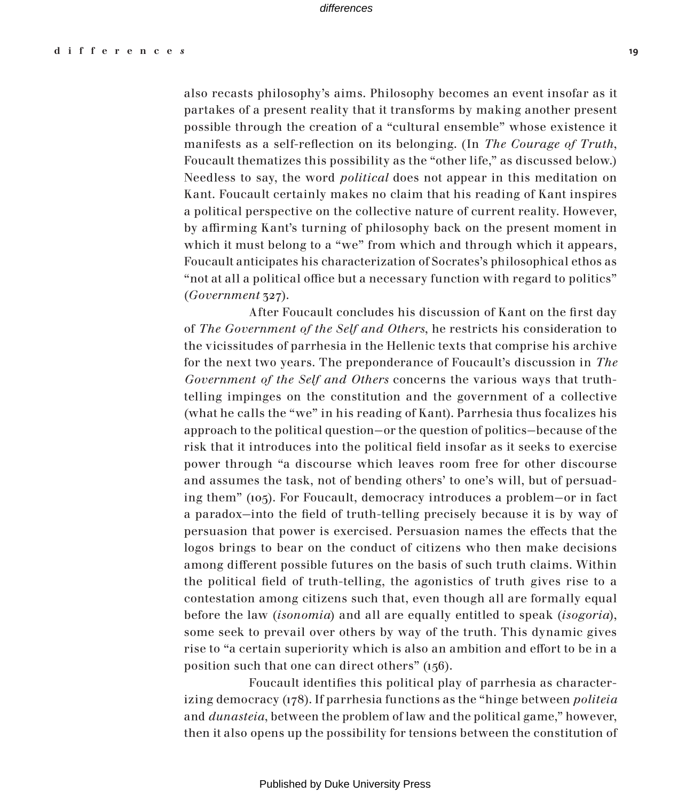also recasts philosophy's aims. Philosophy becomes an event insofar as it partakes of a present reality that it transforms by making another present possible through the creation of a "cultural ensemble" whose existence it manifests as a self-reflection on its belonging. (In *The Courage of Truth*, Foucault thematizes this possibility as the "other life," as discussed below.) Needless to say, the word *political* does not appear in this meditation on

Kant. Foucault certainly makes no claim that his reading of Kant inspires a political perspective on the collective nature of current reality. However, by affirming Kant's turning of philosophy back on the present moment in which it must belong to a "we" from which and through which it appears, Foucault anticipates his characterization of Socrates's philosophical ethos as "not at all a political office but a necessary function with regard to politics" (*Government* 327).

After Foucault concludes his discussion of Kant on the first day of *The Government of the Self and Others*, he restricts his consideration to the vicissitudes of parrhesia in the Hellenic texts that comprise his archive for the next two years. The preponderance of Foucault's discussion in *The Government of the Self and Others* concerns the various ways that truthtelling impinges on the constitution and the government of a collective (what he calls the "we" in his reading of Kant). Parrhesia thus focalizes his approach to the political question—or the question of politics—because of the risk that it introduces into the political field insofar as it seeks to exercise power through "a discourse which leaves room free for other discourse and assumes the task, not of bending others' to one's will, but of persuading them" (105). For Foucault, democracy introduces a problem—or in fact a paradox—into the field of truth-telling precisely because it is by way of persuasion that power is exercised. Persuasion names the effects that the logos brings to bear on the conduct of citizens who then make decisions among different possible futures on the basis of such truth claims. Within the political field of truth-telling, the agonistics of truth gives rise to a contestation among citizens such that, even though all are formally equal before the law (*isonomia*) and all are equally entitled to speak (*isogoria*), some seek to prevail over others by way of the truth. This dynamic gives rise to "a certain superiority which is also an ambition and effort to be in a position such that one can direct others" (156).

Foucault identifies this political play of parrhesia as characterizing democracy (178). If parrhesia functions as the "hinge between *politeia* and *dunasteia*, between the problem of law and the political game," however, then it also opens up the possibility for tensions between the constitution of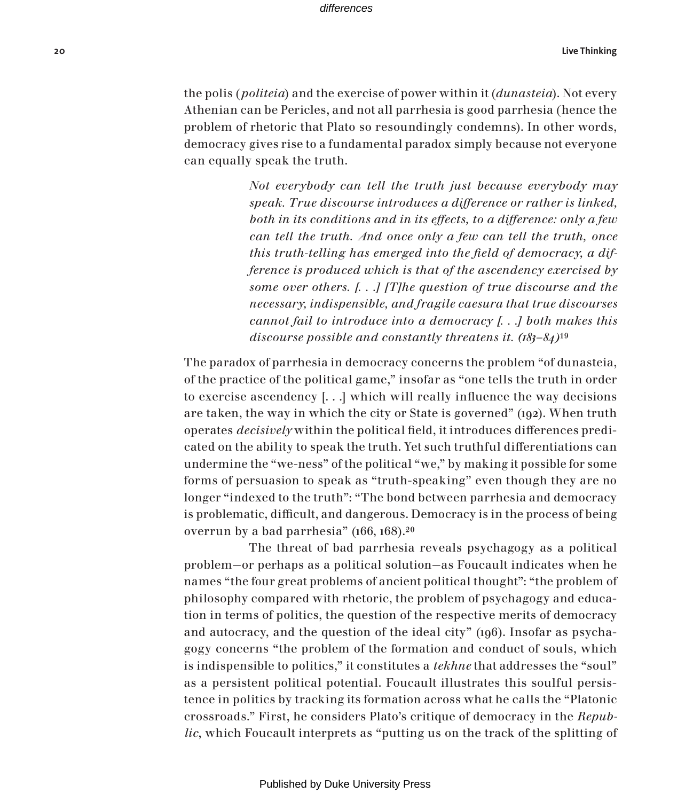the polis (*politeia*) and the exercise of power within it (*dunasteia*). Not every Athenian can be Pericles, and not all parrhesia is good parrhesia (hence the problem of rhetoric that Plato so resoundingly condemns). In other words, democracy gives rise to a fundamental paradox simply because not everyone can equally speak the truth.

> *Not everybody can tell the truth just because everybody may speak. True discourse introduces a difference or rather is linked, both in its conditions and in its effects, to a difference: only a few can tell the truth. And once only a few can tell the truth, once this truth-telling has emerged into the field of democracy, a difference is produced which is that of the ascendency exercised by some over others. [. . .] [T]he question of true discourse and the necessary, indispensible, and fragile caesura that true discourses cannot fail to introduce into a democracy [. . .] both makes this discourse possible and constantly threatens it. (183–84)*19

The paradox of parrhesia in democracy concerns the problem "of dunasteia, of the practice of the political game," insofar as "one tells the truth in order to exercise ascendency [. . .] which will really influence the way decisions are taken, the way in which the city or State is governed" (192). When truth operates *decisively* within the political field, it introduces differences predicated on the ability to speak the truth. Yet such truthful differentiations can undermine the "we-ness" of the political "we," by making it possible for some forms of persuasion to speak as "truth-speaking" even though they are no longer "indexed to the truth": "The bond between parrhesia and democracy is problematic, difficult, and dangerous. Democracy is in the process of being overrun by a bad parrhesia" (166, 168).20

The threat of bad parrhesia reveals psychagogy as a political problem—or perhaps as a political solution—as Foucault indicates when he names "the four great problems of ancient political thought": "the problem of philosophy compared with rhetoric, the problem of psychagogy and education in terms of politics, the question of the respective merits of democracy and autocracy, and the question of the ideal city" (196). Insofar as psychagogy concerns "the problem of the formation and conduct of souls, which is indispensible to politics," it constitutes a *tekhne* that addresses the "soul" as a persistent political potential. Foucault illustrates this soulful persistence in politics by tracking its formation across what he calls the "Platonic crossroads." First, he considers Plato's critique of democracy in the *Republic*, which Foucault interprets as "putting us on the track of the splitting of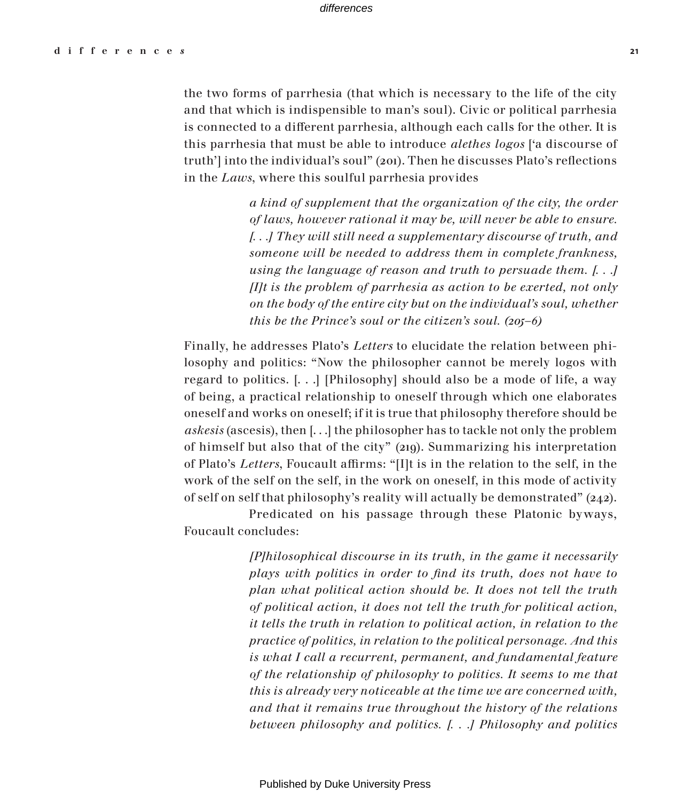the two forms of parrhesia (that which is necessary to the life of the city and that which is indispensible to man's soul). Civic or political parrhesia is connected to a different parrhesia, although each calls for the other. It is this parrhesia that must be able to introduce *alethes logos* ['a discourse of truth'] into the individual's soul" (201). Then he discusses Plato's reflections in the *Laws*, where this soulful parrhesia provides

> *a kind of supplement that the organization of the city, the order of laws, however rational it may be, will never be able to ensure. [. . .] They will still need a supplementary discourse of truth, and someone will be needed to address them in complete frankness, using the language of reason and truth to persuade them. [. . .] [I]t is the problem of parrhesia as action to be exerted, not only on the body of the entire city but on the individual's soul, whether this be the Prince's soul or the citizen's soul. (205–6)*

Finally, he addresses Plato's *Letters* to elucidate the relation between philosophy and politics: "Now the philosopher cannot be merely logos with regard to politics. [. . .] [Philosophy] should also be a mode of life, a way of being, a practical relationship to oneself through which one elaborates oneself and works on oneself; if it is true that philosophy therefore should be *askesis* (ascesis), then [. . .] the philosopher has to tackle not only the problem of himself but also that of the city" (219). Summarizing his interpretation of Plato's *Letters*, Foucault affirms: "[I]t is in the relation to the self, in the work of the self on the self, in the work on oneself, in this mode of activity of self on self that philosophy's reality will actually be demonstrated" (242).

Predicated on his passage through these Platonic byways, Foucault concludes:

> *[P]hilosophical discourse in its truth, in the game it necessarily plays with politics in order to find its truth, does not have to plan what political action should be. It does not tell the truth of political action, it does not tell the truth for political action, it tells the truth in relation to political action, in relation to the practice of politics, in relation to the political personage. And this is what I call a recurrent, permanent, and fundamental feature of the relationship of philosophy to politics. It seems to me that this is already very noticeable at the time we are concerned with, and that it remains true throughout the history of the relations between philosophy and politics. [. . .] Philosophy and politics*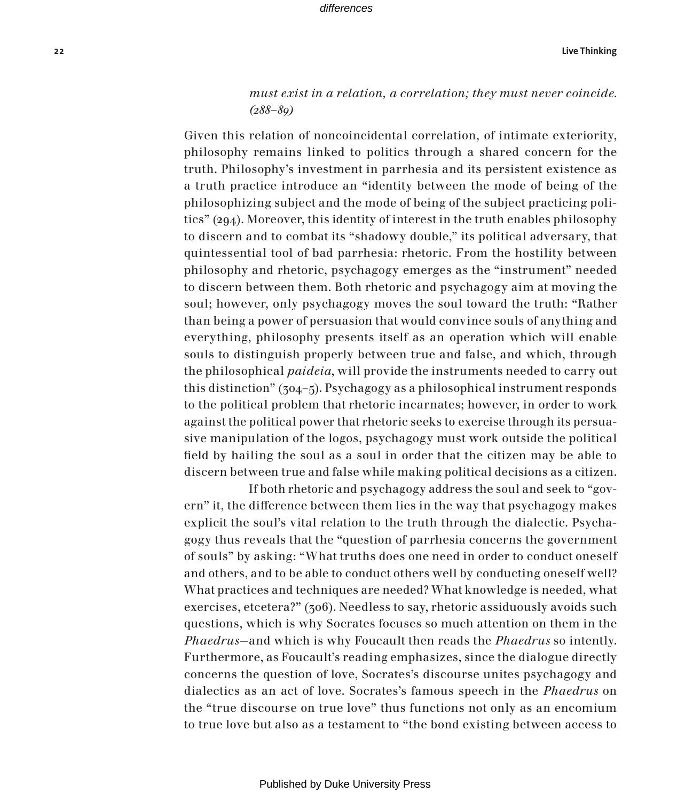## *must exist in a relation, a correlation; they must never coincide. (288–89)*

Given this relation of noncoincidental correlation, of intimate exteriority, philosophy remains linked to politics through a shared concern for the truth. Philosophy's investment in parrhesia and its persistent existence as a truth practice introduce an "identity between the mode of being of the philosophizing subject and the mode of being of the subject practicing politics" (294). Moreover, this identity of interest in the truth enables philosophy to discern and to combat its "shadowy double," its political adversary, that quintessential tool of bad parrhesia: rhetoric. From the hostility between philosophy and rhetoric, psychagogy emerges as the "instrument" needed to discern between them. Both rhetoric and psychagogy aim at moving the soul; however, only psychagogy moves the soul toward the truth: "Rather than being a power of persuasion that would convince souls of anything and everything, philosophy presents itself as an operation which will enable souls to distinguish properly between true and false, and which, through the philosophical *paideia*, will provide the instruments needed to carry out this distinction" (304–5). Psychagogy as a philosophical instrument responds to the political problem that rhetoric incarnates; however, in order to work against the political power that rhetoric seeks to exercise through its persuasive manipulation of the logos, psychagogy must work outside the political field by hailing the soul as a soul in order that the citizen may be able to discern between true and false while making political decisions as a citizen.

If both rhetoric and psychagogy address the soul and seek to "govern" it, the difference between them lies in the way that psychagogy makes explicit the soul's vital relation to the truth through the dialectic. Psychagogy thus reveals that the "question of parrhesia concerns the government of souls" by asking: "What truths does one need in order to conduct oneself and others, and to be able to conduct others well by conducting oneself well? What practices and techniques are needed? What knowledge is needed, what exercises, etcetera?" (306). Needless to say, rhetoric assiduously avoids such questions, which is why Socrates focuses so much attention on them in the *Phaedrus*—and which is why Foucault then reads the *Phaedrus* so intently. Furthermore, as Foucault's reading emphasizes, since the dialogue directly concerns the question of love, Socrates's discourse unites psychagogy and dialectics as an act of love. Socrates's famous speech in the *Phaedrus* on the "true discourse on true love" thus functions not only as an encomium to true love but also as a testament to "the bond existing between access to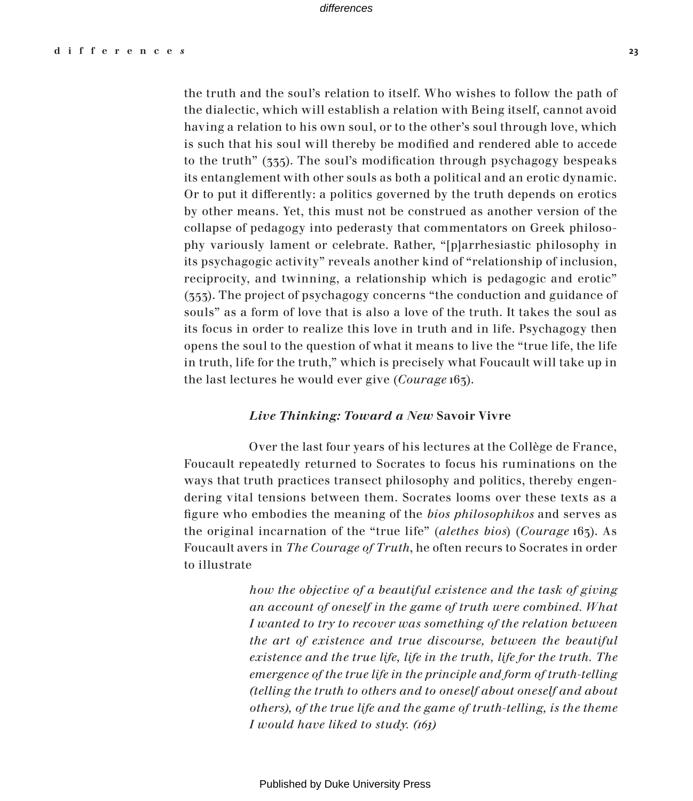the truth and the soul's relation to itself. Who wishes to follow the path of the dialectic, which will establish a relation with Being itself, cannot avoid having a relation to his own soul, or to the other's soul through love, which is such that his soul will thereby be modified and rendered able to accede to the truth" (335). The soul's modification through psychagogy bespeaks its entanglement with other souls as both a political and an erotic dynamic. Or to put it differently: a politics governed by the truth depends on erotics by other means. Yet, this must not be construed as another version of the collapse of pedagogy into pederasty that commentators on Greek philosophy variously lament or celebrate. Rather, "[p]arrhesiastic philosophy in its psychagogic activity" reveals another kind of "relationship of inclusion, reciprocity, and twinning, a relationship which is pedagogic and erotic" (353). The project of psychagogy concerns "the conduction and guidance of souls" as a form of love that is also a love of the truth. It takes the soul as its focus in order to realize this love in truth and in life. Psychagogy then opens the soul to the question of what it means to live the "true life, the life in truth, life for the truth," which is precisely what Foucault will take up in the last lectures he would ever give (*Courage* 163).

### *Live Thinking: Toward a New* Savoir Vivre

Over the last four years of his lectures at the Collège de France, Foucault repeatedly returned to Socrates to focus his ruminations on the ways that truth practices transect philosophy and politics, thereby engendering vital tensions between them. Socrates looms over these texts as a figure who embodies the meaning of the *bios philosophikos* and serves as the original incarnation of the "true life" (*alethes bios*) (*Courage* 163). As Foucault avers in *The Courage of Truth*, he often recurs to Socrates in order to illustrate

> *how the objective of a beautiful existence and the task of giving an account of oneself in the game of truth were combined. What I wanted to try to recover was something of the relation between the art of existence and true discourse, between the beautiful existence and the true life, life in the truth, life for the truth. The emergence of the true life in the principle and form of truth-telling (telling the truth to others and to oneself about oneself and about others), of the true life and the game of truth-telling, is the theme I would have liked to study. (163)*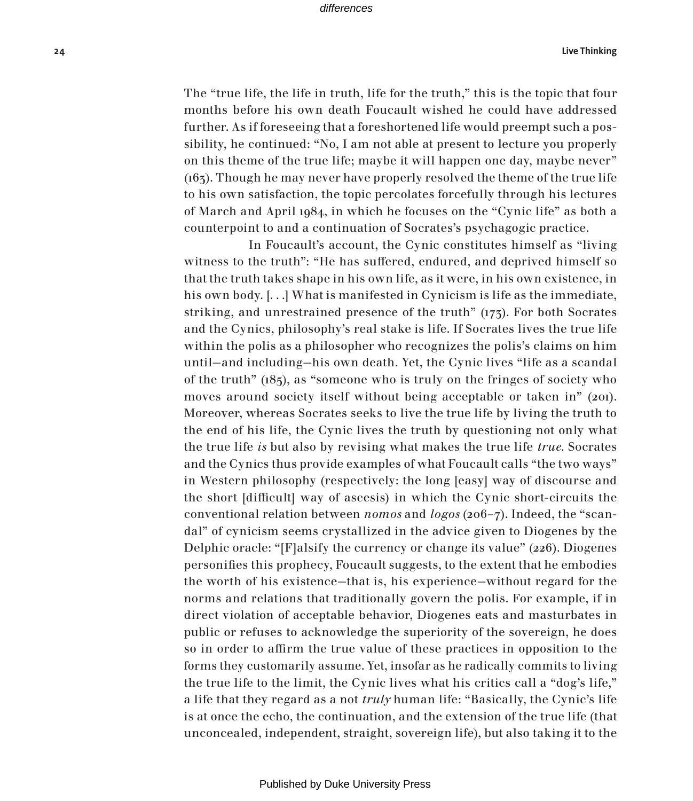The "true life, the life in truth, life for the truth," this is the topic that four months before his own death Foucault wished he could have addressed further. As if foreseeing that a foreshortened life would preempt such a possibility, he continued: "No, I am not able at present to lecture you properly on this theme of the true life; maybe it will happen one day, maybe never" (163). Though he may never have properly resolved the theme of the true life to his own satisfaction, the topic percolates forcefully through his lectures of March and April 1984, in which he focuses on the "Cynic life" as both a counterpoint to and a continuation of Socrates's psychagogic practice.

In Foucault's account, the Cynic constitutes himself as "living witness to the truth": "He has suffered, endured, and deprived himself so that the truth takes shape in his own life, as it were, in his own existence, in his own body. [...] What is manifested in Cynicism is life as the immediate, striking, and unrestrained presence of the truth" (173). For both Socrates and the Cynics, philosophy's real stake is life. If Socrates lives the true life within the polis as a philosopher who recognizes the polis's claims on him until—and including—his own death. Yet, the Cynic lives "life as a scandal of the truth" (185), as "someone who is truly on the fringes of society who moves around society itself without being acceptable or taken in" (201). Moreover, whereas Socrates seeks to live the true life by living the truth to the end of his life, the Cynic lives the truth by questioning not only what the true life *is* but also by revising what makes the true life *true*. Socrates and the Cynics thus provide examples of what Foucault calls "the two ways" in Western philosophy (respectively: the long [easy] way of discourse and the short [difficult] way of ascesis) in which the Cynic short-circuits the conventional relation between *nomos* and *logos* (206–7). Indeed, the "scandal" of cynicism seems crystallized in the advice given to Diogenes by the Delphic oracle: "[F]alsify the currency or change its value" (226). Diogenes personifies this prophecy, Foucault suggests, to the extent that he embodies the worth of his existence—that is, his experience—without regard for the norms and relations that traditionally govern the polis. For example, if in direct violation of acceptable behavior, Diogenes eats and masturbates in public or refuses to acknowledge the superiority of the sovereign, he does so in order to affirm the true value of these practices in opposition to the forms they customarily assume. Yet, insofar as he radically commits to living the true life to the limit, the Cynic lives what his critics call a "dog's life," a life that they regard as a not *truly* human life: "Basically, the Cynic's life is at once the echo, the continuation, and the extension of the true life (that unconcealed, independent, straight, sovereign life), but also taking it to the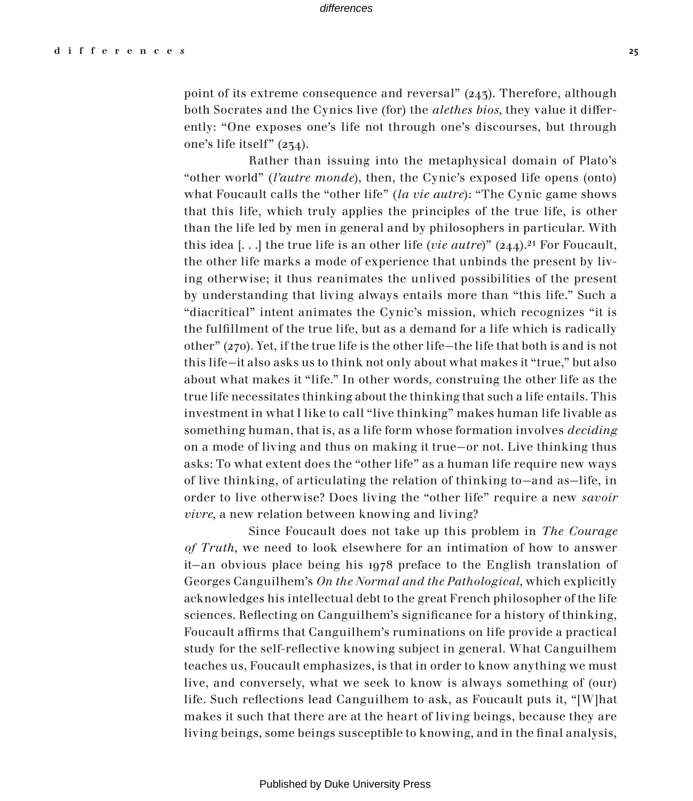point of its extreme consequence and reversal"  $(243)$ . Therefore, although both Socrates and the Cynics live (for) the *alethes bios*, they value it differently: "One exposes one's life not through one's discourses, but through one's life itself" (234).

Rather than issuing into the metaphysical domain of Plato's "other world" (*l'autre monde*), then, the Cynic's exposed life opens (onto) what Foucault calls the "other life" (*la vie autre*): "The Cynic game shows that this life, which truly applies the principles of the true life, is other than the life led by men in general and by philosophers in particular. With this idea  $[...]$  the true life is an other life (*vie autre*)"  $(24.4).^{21}$  For Foucault, the other life marks a mode of experience that unbinds the present by living otherwise; it thus reanimates the unlived possibilities of the present by understanding that living always entails more than "this life." Such a "diacritical" intent animates the Cynic's mission, which recognizes "it is the fulfillment of the true life, but as a demand for a life which is radically other" (270). Yet, if the true life is the other life—the life that both is and is not this life—it also asks us to think not only about what makes it "true," but also about what makes it "life." In other words, construing the other life as the true life necessitates thinking about the thinking that such a life entails. This investment in what I like to call "live thinking" makes human life livable as something human, that is, as a life form whose formation involves *deciding* on a mode of living and thus on making it true—or not. Live thinking thus asks: To what extent does the "other life" as a human life require new ways of live thinking, of articulating the relation of thinking to—and as—life, in order to live otherwise? Does living the "other life" require a new *savoir vivre*, a new relation between knowing and living?

Since Foucault does not take up this problem in *The Courage of Truth*, we need to look elsewhere for an intimation of how to answer it—an obvious place being his 1978 preface to the English translation of Georges Canguilhem's *On the Normal and the Pathological*, which explicitly acknowledges his intellectual debt to the great French philosopher of the life sciences. Reflecting on Canguilhem's significance for a history of thinking, Foucault affirms that Canguilhem's ruminations on life provide a practical study for the self-reflective knowing subject in general. What Canguilhem teaches us, Foucault emphasizes, is that in order to know anything we must live, and conversely, what we seek to know is always something of (our) life. Such reflections lead Canguilhem to ask, as Foucault puts it, "[W]hat makes it such that there are at the heart of living beings, because they are living beings, some beings susceptible to knowing, and in the final analysis,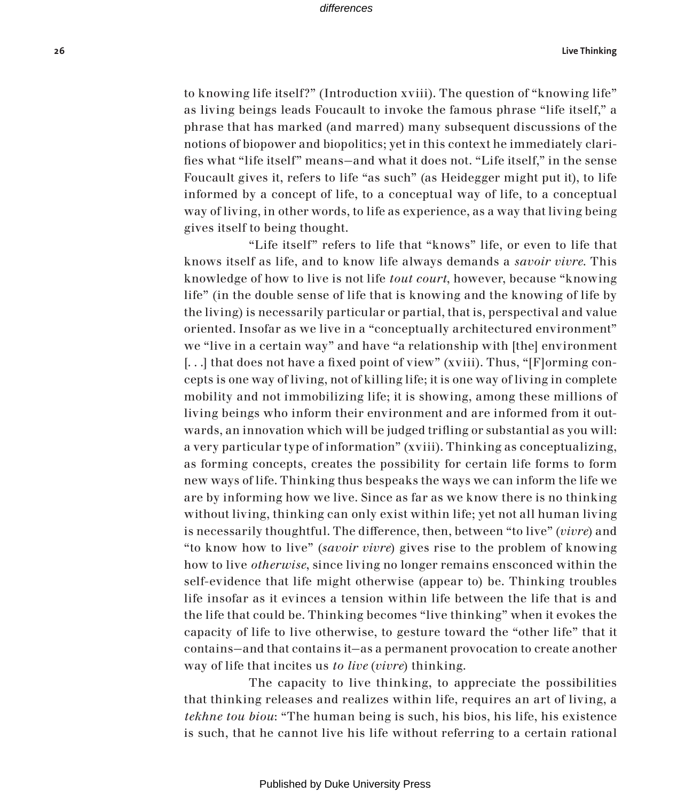to knowing life itself?" (Introduction xviii). The question of "knowing life" as living beings leads Foucault to invoke the famous phrase "life itself," a phrase that has marked (and marred) many subsequent discussions of the notions of biopower and biopolitics; yet in this context he immediately clarifies what "life itself" means—and what it does not. "Life itself," in the sense Foucault gives it, refers to life "as such" (as Heidegger might put it), to life informed by a concept of life, to a conceptual way of life, to a conceptual way of living, in other words, to life as experience, as a way that living being gives itself to being thought.

"Life itself" refers to life that "knows" life, or even to life that knows itself as life, and to know life always demands a *savoir vivre*. This knowledge of how to live is not life *tout court*, however, because "knowing life" (in the double sense of life that is knowing and the knowing of life by the living) is necessarily particular or partial, that is, perspectival and value oriented. Insofar as we live in a "conceptually architectured environment" we "live in a certain way" and have "a relationship with [the] environment [. . .] that does not have a fixed point of view" (xviii). Thus, "[F]orming concepts is one way of living, not of killing life; it is one way of living in complete mobility and not immobilizing life; it is showing, among these millions of living beings who inform their environment and are informed from it outwards, an innovation which will be judged trifling or substantial as you will: a very particular type of information" (xviii). Thinking as conceptualizing, as forming concepts, creates the possibility for certain life forms to form new ways of life. Thinking thus bespeaks the ways we can inform the life we are by informing how we live. Since as far as we know there is no thinking without living, thinking can only exist within life; yet not all human living is necessarily thoughtful. The difference, then, between "to live" (*vivre*) and "to know how to live" (*savoir vivre*) gives rise to the problem of knowing how to live *otherwise*, since living no longer remains ensconced within the self-evidence that life might otherwise (appear to) be. Thinking troubles life insofar as it evinces a tension within life between the life that is and the life that could be. Thinking becomes "live thinking" when it evokes the capacity of life to live otherwise, to gesture toward the "other life" that it contains—and that contains it—as a permanent provocation to create another way of life that incites us *to live* (*vivre*) thinking.

The capacity to live thinking, to appreciate the possibilities that thinking releases and realizes within life, requires an art of living, a *tekhne tou biou*: "The human being is such, his bios, his life, his existence is such, that he cannot live his life without referring to a certain rational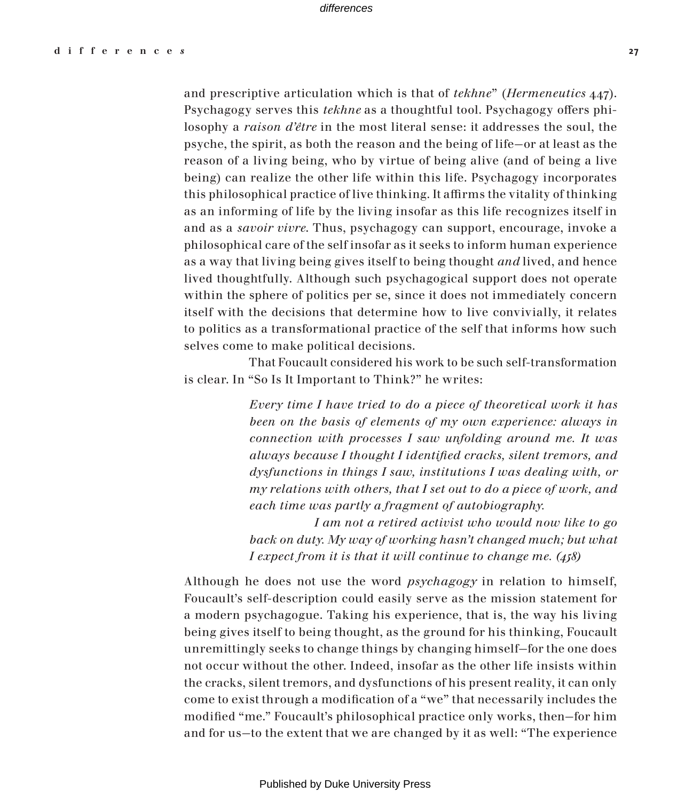and prescriptive articulation which is that of *tekhne*" (*Hermeneutics* 447). Psychagogy serves this *tekhne* as a thoughtful tool. Psychagogy offers philosophy a *raison d'être* in the most literal sense: it addresses the soul, the psyche, the spirit, as both the reason and the being of life—or at least as the reason of a living being, who by virtue of being alive (and of being a live being) can realize the other life within this life. Psychagogy incorporates this philosophical practice of live thinking. It affirms the vitality of thinking as an informing of life by the living insofar as this life recognizes itself in and as a *savoir vivre*. Thus, psychagogy can support, encourage, invoke a philosophical care of the self insofar as it seeks to inform human experience as a way that living being gives itself to being thought *and* lived, and hence lived thoughtfully. Although such psychagogical support does not operate within the sphere of politics per se, since it does not immediately concern itself with the decisions that determine how to live convivially, it relates to politics as a transformational practice of the self that informs how such selves come to make political decisions.

That Foucault considered his work to be such self-transformation is clear. In "So Is It Important to Think?" he writes:

> *Every time I have tried to do a piece of theoretical work it has been on the basis of elements of my own experience: always in connection with processes I saw unfolding around me. It was always because I thought I identified cracks, silent tremors, and dysfunctions in things I saw, institutions I was dealing with, or my relations with others, that I set out to do a piece of work, and each time was partly a fragment of autobiography.*

> *I am not a retired activist who would now like to go back on duty. My way of working hasn't changed much; but what I expect from it is that it will continue to change me. (458)*

Although he does not use the word *psychagogy* in relation to himself, Foucault's self-description could easily serve as the mission statement for a modern psychagogue. Taking his experience, that is, the way his living being gives itself to being thought, as the ground for his thinking, Foucault unremittingly seeks to change things by changing himself—for the one does not occur without the other. Indeed, insofar as the other life insists within the cracks, silent tremors, and dysfunctions of his present reality, it can only come to exist through a modification of a "we" that necessarily includes the modified "me." Foucault's philosophical practice only works, then—for him and for us—to the extent that we are changed by it as well: "The experience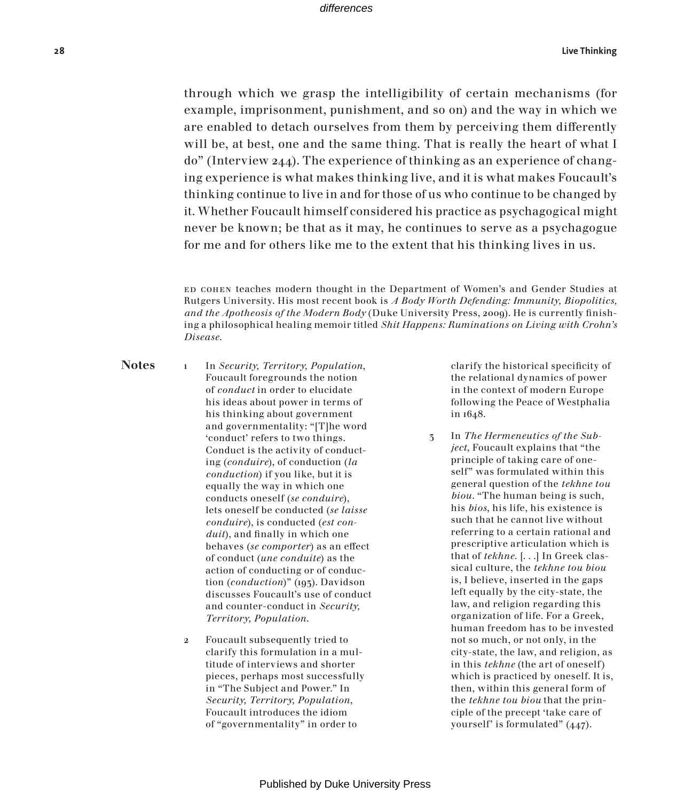through which we grasp the intelligibility of certain mechanisms (for example, imprisonment, punishment, and so on) and the way in which we are enabled to detach ourselves from them by perceiving them differently will be, at best, one and the same thing. That is really the heart of what I do" (Interview 244). The experience of thinking as an experience of changing experience is what makes thinking live, and it is what makes Foucault's thinking continue to live in and for those of us who continue to be changed by it. Whether Foucault himself considered his practice as psychagogical might never be known; be that as it may, he continues to serve as a psychagogue for me and for others like me to the extent that his thinking lives in us.

ed cohen teaches modern thought in the Department of Women's and Gender Studies at Rutgers University. His most recent book is *A Body Worth Defending: Immunity, Biopolitics, and the Apotheosis of the Modern Body* (Duke University Press, 2009). He is currently finishing a philosophical healing memoir titled *Shit Happens: Ruminations on Living with Crohn's Disease*.

- **Notes**
- 1 In *Security, Territory, Population*, Foucault foregrounds the notion of *conduct* in order to elucidate his ideas about power in terms of his thinking about government and governmentality: "[T]he word 'conduct' refers to two things. Conduct is the activity of conducting (*conduire*), of conduction (*la conduction*) if you like, but it is equally the way in which one conducts oneself (*se conduire*), lets oneself be conducted (*se laisse conduire*), is conducted (*est conduit*), and finally in which one behaves (*se comporter*) as an effect of conduct (*une conduite*) as the action of conducting or of conduction (*conduction*)" (193). Davidson discusses Foucault's use of conduct and counter-conduct in *Security, Territory, Population*.
- 2 Foucault subsequently tried to clarify this formulation in a multitude of interviews and shorter pieces, perhaps most successfully in "The Subject and Power." In *Security, Territory, Population*, Foucault introduces the idiom of "governmentality" in order to

clarify the historical specificity of the relational dynamics of power in the context of modern Europe following the Peace of Westphalia in 1648.

3 In *The Hermeneutics of the Subject*, Foucault explains that "the principle of taking care of oneself" was formulated within this general question of the *tekhne tou biou*. "The human being is such, his *bios*, his life, his existence is such that he cannot live without referring to a certain rational and prescriptive articulation which is that of *tekhne*. [. . .] In Greek classical culture, the *tekhne tou biou* is, I believe, inserted in the gaps left equally by the city-state, the law, and religion regarding this organization of life. For a Greek, human freedom has to be invested not so much, or not only, in the city-state, the law, and religion, as in this *tekhne* (the art of oneself) which is practiced by oneself. It is, then, within this general form of the *tekhne tou biou* that the principle of the precept 'take care of yourself' is formulated" (447).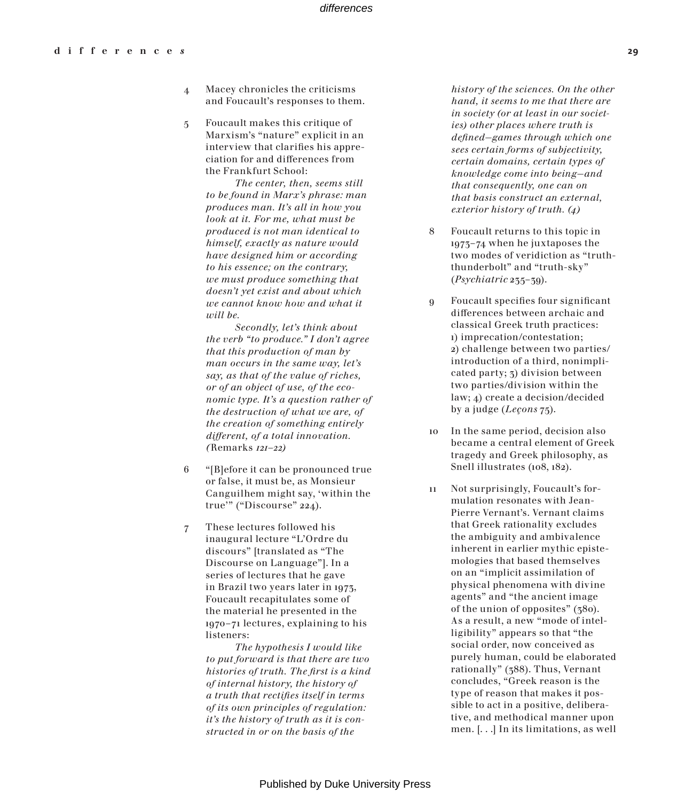- 4 Macey chronicles the criticisms and Foucault's responses to them.
- 5 Foucault makes this critique of Marxism's "nature" explicit in an interview that clarifies his appreciation for and differences from the Frankfurt School:

*The center, then, seems still to be found in Marx's phrase: man produces man. It's all in how you look at it. For me, what must be produced is not man identical to himself, exactly as nature would have designed him or according to his essence; on the contrary, we must produce something that doesn't yet exist and about which we cannot know how and what it will be.*

*Secondly, let's think about the verb "to produce." I don't agree that this production of man by man occurs in the same way, let's say, as that of the value of riches, or of an object of use, of the economic type. It's a question rather of the destruction of what we are, of the creation of something entirely different, of a total innovation. (*Remarks *121–22)*

- 6 "[B]efore it can be pronounced true or false, it must be, as Monsieur Canguilhem might say, 'within the true'" ("Discourse" 224).
- 7 These lectures followed his inaugural lecture "L'Ordre du discours" [translated as "The Discourse on Language"]. In a series of lectures that he gave in Brazil two years later in 1973, Foucault recapitulates some of the material he presented in the 1970–71 lectures, explaining to his listeners:

*The hypothesis I would like to put forward is that there are two histories of truth. The first is a kind of internal history, the history of a truth that rectifies itself in terms of its own principles of regulation: it's the history of truth as it is constructed in or on the basis of the* 

*history of the sciences. On the other hand, it seems to me that there are in society (or at least in our societies) other places where truth is defined—games through which one sees certain forms of subjectivity, certain domains, certain types of knowledge come into being—and that consequently, one can on that basis construct an external, exterior history of truth. (4)*

- 8 Foucault returns to this topic in 1973–74 when he juxtaposes the two modes of veridiction as "truththunderbolt" and "truth-sky" (*Psychiatric* 235–39).
- 9 Foucault specifies four significant differences between archaic and classical Greek truth practices: 1) imprecation/contestation; 2) challenge between two parties/ introduction of a third, nonimplicated party; 3) division between two parties/division within the law; 4) create a decision/decided by a judge (*Leçons* 75).
- 10 In the same period, decision also became a central element of Greek tragedy and Greek philosophy, as Snell illustrates (108, 182).
- 11 Not surprisingly, Foucault's formulation resonates with Jean-Pierre Vernant's. Vernant claims that Greek rationality excludes the ambiguity and ambivalence inherent in earlier mythic epistemologies that based themselves on an "implicit assimilation of physical phenomena with divine agents" and "the ancient image of the union of opposites" (380). As a result, a new "mode of intelligibility" appears so that "the social order, now conceived as purely human, could be elaborated rationally" (388). Thus, Vernant concludes, "Greek reason is the type of reason that makes it possible to act in a positive, deliberative, and methodical manner upon men. [. . .] In its limitations, as well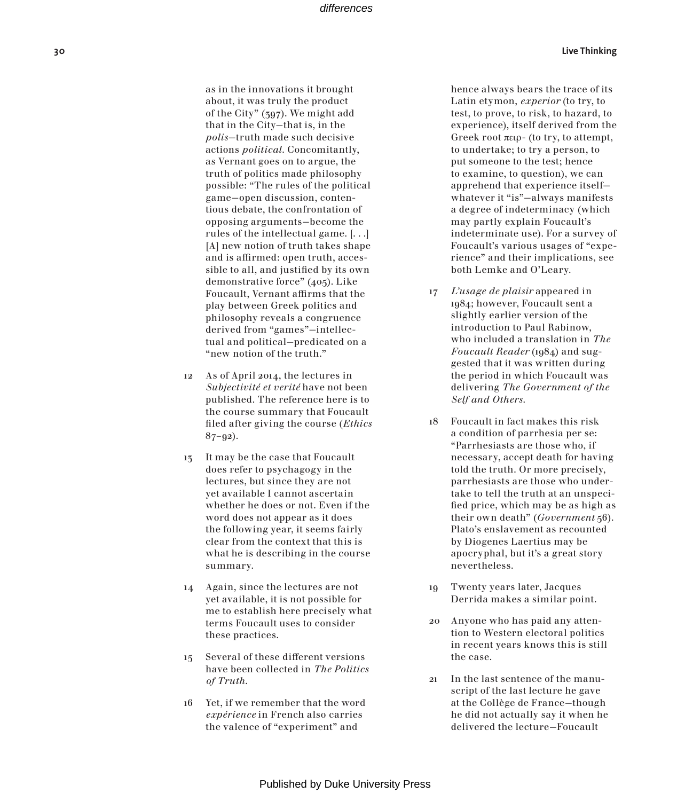as in the innovations it brought about, it was truly the product of the City" (397). We might add that in the City—that is, in the *polis*—truth made such decisive actions *political*. Concomitantly, as Vernant goes on to argue, the truth of politics made philosophy possible: "The rules of the political game—open discussion, contentious debate, the confrontation of opposing arguments—become the rules of the intellectual game. [. . .] [A] new notion of truth takes shape and is affirmed: open truth, accessible to all, and justified by its own demonstrative force" (405). Like Foucault, Vernant affirms that the play between Greek politics and philosophy reveals a congruence derived from "games"—intellectual and political—predicated on a "new notion of the truth."

- 12 As of April 2014, the lectures in *Subjectivité et verité* have not been published. The reference here is to the course summary that Foucault filed after giving the course (*Ethics*  $87-92$ ).
- 13 It may be the case that Foucault does refer to psychagogy in the lectures, but since they are not yet available I cannot ascertain whether he does or not. Even if the word does not appear as it does the following year, it seems fairly clear from the context that this is what he is describing in the course summary.
- 14 Again, since the lectures are not yet available, it is not possible for me to establish here precisely what terms Foucault uses to consider these practices.
- 15 Several of these different versions have been collected in *The Politics of Truth*.
- 16 Yet, if we remember that the word *expérience* in French also carries the valence of "experiment" and

hence always bears the trace of its Latin etymon, *experior* (to try, to test, to prove, to risk, to hazard, to experience), itself derived from the Greek root πειρ- (to try, to attempt, to undertake; to try a person, to put someone to the test; hence to examine, to question), we can apprehend that experience itself whatever it "is"—always manifests a degree of indeterminacy (which may partly explain Foucault's indeterminate use). For a survey of Foucault's various usages of "experience" and their implications, see both Lemke and O'Leary.

- 17 *L'usage de plaisir* appeared in 1984; however, Foucault sent a slightly earlier version of the introduction to Paul Rabinow, who included a translation in *The Foucault Reader* (1984) and suggested that it was written during the period in which Foucault was delivering *The Government of the Self and Others*.
- 18 Foucault in fact makes this risk a condition of parrhesia per se: "Parrhesiasts are those who, if necessary, accept death for having told the truth. Or more precisely, parrhesiasts are those who undertake to tell the truth at an unspecified price, which may be as high as their own death" (*Government* 56). Plato's enslavement as recounted by Diogenes Laertius may be apocryphal, but it's a great story nevertheless.
- 19 Twenty years later, Jacques Derrida makes a similar point.
- 20 Anyone who has paid any attention to Western electoral politics in recent years knows this is still the case.
- 21 In the last sentence of the manuscript of the last lecture he gave at the Collège de France—though he did not actually say it when he delivered the lecture—Foucault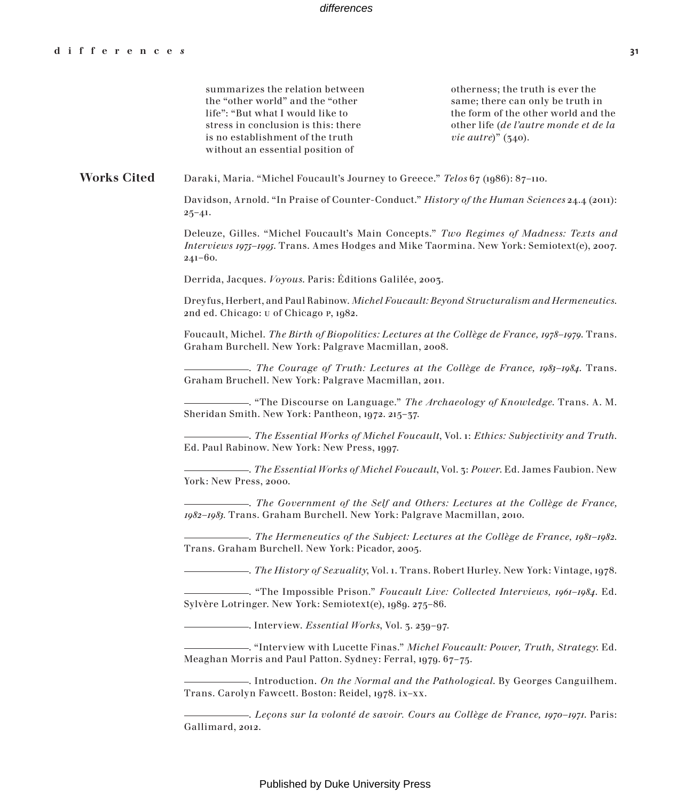#### differences

#### difference *s* **31**

summarizes the relation between the "other world" and the "other life": "But what I would like to stress in conclusion is this: there is no establishment of the truth without an essential position of

otherness; the truth is ever the same; there can only be truth in the form of the other world and the other life (*de l'autre monde et de la vie autre*)" (540).

Daraki, Maria. "Michel Foucault's Journey to Greece." *Telos* 67 (1986): 87–110. Works Cited

> Davidson, Arnold. "In Praise of Counter-Conduct." *History of the Human Sciences* 24.4 (2011): 25–41.

> Deleuze, Gilles. "Michel Foucault's Main Concepts." *Two Regimes of Madness: Texts and Interviews 1975–1995*. Trans. Ames Hodges and Mike Taormina. New York: Semiotext(e), 2007. 241–60.

Derrida, Jacques. *Voyous*. Paris: Éditions Galilée, 2003.

Dreyfus, Herbert, and Paul Rabinow. *Michel Foucault: Beyond Structuralism and Hermeneutics*. 2nd ed. Chicago: u of Chicago p, 1982.

Foucault, Michel. *The Birth of Biopolitics: Lectures at the Collège de France, 1978–1979*. Trans. Graham Burchell. New York: Palgrave Macmillan, 2008.

. *The Courage of Truth: Lectures at the Collège de France, 1983–1984*. Trans. Graham Bruchell. New York: Palgrave Macmillan, 2011.

. "The Discourse on Language." *The Archaeology of Knowledge*. Trans. A. M. Sheridan Smith. New York: Pantheon, 1972. 215–37.

. *The Essential Works of Michel Foucault*, Vol. 1: *Ethics: Subjectivity and Truth*. Ed. Paul Rabinow. New York: New Press, 1997.

. *The Essential Works of Michel Foucault*, Vol. 3: *Power*. Ed. James Faubion. New York: New Press, 2000.

. *The Government of the Self and Others: Lectures at the Collège de France, 1982–1983.* Trans. Graham Burchell. New York: Palgrave Macmillan, 2010.

. *The Hermeneutics of the Subject: Lectures at the Collège de France, 1981–1982*. Trans. Graham Burchell. New York: Picador, 2005.

. *The History of Sexuality*, Vol. 1. Trans. Robert Hurley. New York: Vintage, 1978.

. "The Impossible Prison." *Foucault Live: Collected Interviews, 1961–1984*. Ed. Sylvère Lotringer. New York: Semiotext(e), 1989. 275–86.

. Interview. *Essential Works*, Vol. 3. 239–97.

. "Interview with Lucette Finas." *Michel Foucault: Power, Truth, Strategy*. Ed. Meaghan Morris and Paul Patton. Sydney: Ferral, 1979. 67–75.

. Introduction. *On the Normal and the Pathological*. By Georges Canguilhem. Trans. Carolyn Fawcett. Boston: Reidel, 1978. ix–xx.

. *Leçons sur la volonté de savoir. Cours au Collège de France, 1970–1971*. Paris: Gallimard, 2012.